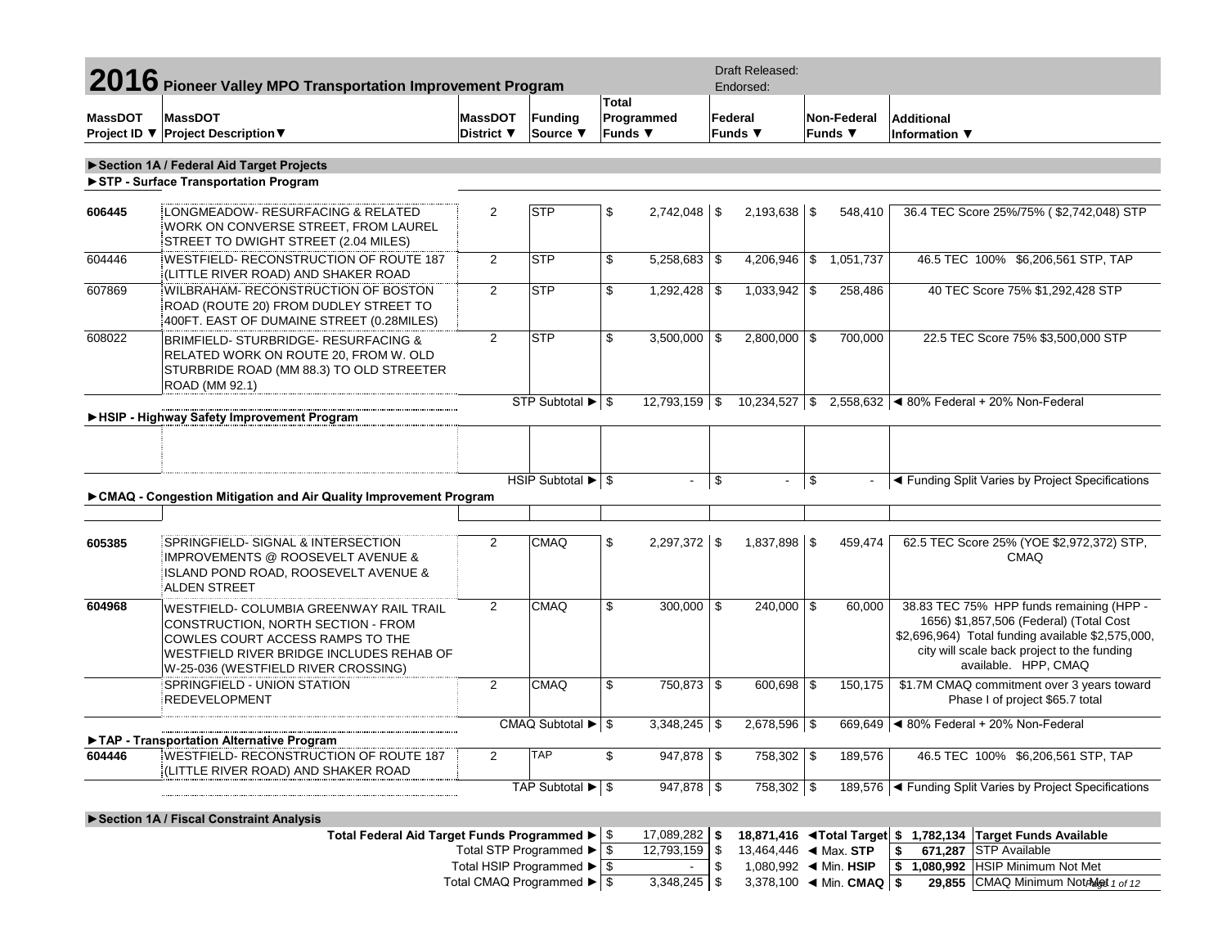|                                           | 2016 Pioneer Valley MPO Transportation Improvement Program                                                                                                                                           |                              |                                                |                         |                  |    | Draft Released:<br>Endorsed:          |           |                                                    |                                                                                                                                                                                                                 |
|-------------------------------------------|------------------------------------------------------------------------------------------------------------------------------------------------------------------------------------------------------|------------------------------|------------------------------------------------|-------------------------|------------------|----|---------------------------------------|-----------|----------------------------------------------------|-----------------------------------------------------------------------------------------------------------------------------------------------------------------------------------------------------------------|
| <b>MassDOT</b>                            | <b>MassDOT</b><br>Project ID ▼ Project Description ▼                                                                                                                                                 | <b>MassDOT</b><br>District ▼ | <b>Funding</b><br>Source ▼                     | Total<br><b>Funds</b> ▼ | Programmed       |    | Federal<br>Funds $\blacktriangledown$ |           | Non-Federal<br>Funds ▼                             | <b>Additional</b><br>Information ▼                                                                                                                                                                              |
|                                           |                                                                                                                                                                                                      |                              |                                                |                         |                  |    |                                       |           |                                                    |                                                                                                                                                                                                                 |
|                                           | Section 1A / Federal Aid Target Projects                                                                                                                                                             |                              |                                                |                         |                  |    |                                       |           |                                                    |                                                                                                                                                                                                                 |
|                                           | STP - Surface Transportation Program                                                                                                                                                                 |                              |                                                |                         |                  |    |                                       |           |                                                    |                                                                                                                                                                                                                 |
|                                           |                                                                                                                                                                                                      |                              |                                                |                         |                  |    |                                       |           |                                                    |                                                                                                                                                                                                                 |
| 606445                                    | LONGMEADOW- RESURFACING & RELATED<br>WORK ON CONVERSE STREET, FROM LAUREL<br>STREET TO DWIGHT STREET (2.04 MILES)                                                                                    | 2                            | <b>STP</b>                                     | \$                      |                  |    | $2,193,638$ \ \$                      |           | 548,410                                            | 36.4 TEC Score 25%/75% (\$2,742,048) STP                                                                                                                                                                        |
| 604446                                    | WESTFIELD-RECONSTRUCTION OF ROUTE 187<br>(LITTLE RIVER ROAD) AND SHAKER ROAD                                                                                                                         | 2                            | <b>STP</b>                                     | \$                      | $5,258,683$ \$   |    | $4,206,946$ \$                        |           | 1,051,737                                          | 46.5 TEC 100% \$6,206,561 STP, TAP                                                                                                                                                                              |
| 607869                                    | WILBRAHAM- RECONSTRUCTION OF BOSTON<br>ROAD (ROUTE 20) FROM DUDLEY STREET TO<br>400FT. EAST OF DUMAINE STREET (0.28MILES)                                                                            | 2                            | <b>STP</b>                                     | \$                      | $1,292,428$ \$   |    | $1,033,942$ \$                        |           | 258,486                                            | 40 TEC Score 75% \$1,292,428 STP                                                                                                                                                                                |
| 608022                                    | BRIMFIELD- STURBRIDGE- RESURFACING &<br>RELATED WORK ON ROUTE 20, FROM W. OLD<br>STURBRIDE ROAD (MM 88.3) TO OLD STREETER<br>ROAD (MM 92.1)                                                          | 2                            | <b>STP</b>                                     | \$                      | $3,500,000$ \$   |    | $2,800,000$ \$                        |           | 700,000                                            | 22.5 TEC Score 75% \$3,500,000 STP                                                                                                                                                                              |
|                                           |                                                                                                                                                                                                      |                              | STP Subtotal ▶ \$                              |                         | $12,793,159$ \$  |    | $10,234,527$ \$                       |           |                                                    | 2,558,632 $\blacktriangleleft$ 80% Federal + 20% Non-Federal                                                                                                                                                    |
|                                           | HSIP - Highway Safety Improvement Program                                                                                                                                                            |                              |                                                |                         |                  |    |                                       |           |                                                    |                                                                                                                                                                                                                 |
|                                           |                                                                                                                                                                                                      |                              | HSIP Subtotal ▶ \$                             |                         | $\blacksquare$   | \$ | $\sim$                                | $\vert \$ |                                                    | ◀ Funding Split Varies by Project Specifications                                                                                                                                                                |
|                                           | ► CMAQ - Congestion Mitigation and Air Quality Improvement Program                                                                                                                                   |                              |                                                |                         |                  |    |                                       |           |                                                    |                                                                                                                                                                                                                 |
|                                           |                                                                                                                                                                                                      |                              |                                                |                         |                  |    |                                       |           |                                                    |                                                                                                                                                                                                                 |
| 605385                                    | SPRINGFIELD- SIGNAL & INTERSECTION<br><b>IMPROVEMENTS @ ROOSEVELT AVENUE &amp;</b><br>ISLAND POND ROAD, ROOSEVELT AVENUE &<br><b>ALDEN STREET</b>                                                    | 2                            | <b>CMAQ</b>                                    | \$                      | 2,297,372 \$     |    | $1,837,898$ \$                        |           | 459,474                                            | 62.5 TEC Score 25% (YOE \$2,972,372) STP,<br><b>CMAQ</b>                                                                                                                                                        |
| 604968                                    | WESTFIELD- COLUMBIA GREENWAY RAIL TRAIL<br>CONSTRUCTION, NORTH SECTION - FROM<br>COWLES COURT ACCESS RAMPS TO THE<br>WESTFIELD RIVER BRIDGE INCLUDES REHAB OF<br>W-25-036 (WESTFIELD RIVER CROSSING) | 2                            | <b>CMAQ</b>                                    | \$                      | $300,000$ \$     |    | $240,000$ \$                          |           | 60,000                                             | 38.83 TEC 75% HPP funds remaining (HPP -<br>1656) \$1,857,506 (Federal) (Total Cost<br>\$2,696,964) Total funding available \$2,575,000,<br>city will scale back project to the funding<br>available. HPP, CMAQ |
|                                           | SPRINGFIELD - UNION STATION<br><b>REDEVELOPMENT</b>                                                                                                                                                  | 2                            | <b>CMAQ</b>                                    | \$                      | 750,873 \$       |    | 600,698 \$                            |           | 150,175                                            | \$1.7M CMAQ commitment over 3 years toward<br>Phase I of project \$65.7 total                                                                                                                                   |
|                                           |                                                                                                                                                                                                      |                              | CMAQ Subtotal $\blacktriangleright$ $\mid$ \$  |                         | $3,348,245$ \$   |    | 2,678,596 \$                          |           |                                                    | 669,649 4 80% Federal + 20% Non-Federal                                                                                                                                                                         |
|                                           | TAP - Transportation Alternative Program                                                                                                                                                             |                              |                                                |                         |                  |    |                                       |           |                                                    |                                                                                                                                                                                                                 |
| 604446                                    | WESTFIELD- RECONSTRUCTION OF ROUTE 187<br>(LITTLE RIVER ROAD) AND SHAKER ROAD                                                                                                                        | $\overline{2}$               | TAP                                            | \$                      | 947,878 \$       |    | 758,302 \$                            |           | 189,576                                            | 46.5 TEC 100% \$6,206,561 STP, TAP                                                                                                                                                                              |
|                                           |                                                                                                                                                                                                      |                              | TAP Subtotal ▶ \$                              |                         | $947,878$ \$     |    | 758,302 \$                            |           |                                                    | 189,576   Funding Split Varies by Project Specifications                                                                                                                                                        |
|                                           | Section 1A / Fiscal Constraint Analysis                                                                                                                                                              |                              |                                                |                         |                  |    |                                       |           |                                                    |                                                                                                                                                                                                                 |
|                                           | Total Federal Aid Target Funds Programmed ▶   \$                                                                                                                                                     |                              |                                                |                         | 17,089,282 \$    |    |                                       |           |                                                    | 18,871,416 <total \$="" 1,782,134="" available<="" funds="" target="" td=""></total>                                                                                                                            |
|                                           |                                                                                                                                                                                                      |                              | Total STP Programmed $\blacktriangleright$ \$  |                         | $12,793,159$ \\$ |    |                                       |           |                                                    | 671,287 STP Available<br>\$                                                                                                                                                                                     |
|                                           |                                                                                                                                                                                                      |                              | Total HSIP Programmed $\blacktriangleright$ \$ |                         | $\blacksquare$   | \$ |                                       |           |                                                    | \$ 1,080,992 HSIP Minimum Not Met                                                                                                                                                                               |
| Total CMAQ Programmed $\triangleright$ \$ |                                                                                                                                                                                                      |                              |                                                |                         | $3,348,245$ \$   |    |                                       |           | 3,378,100 $\blacktriangleleft$ Min. CMAQ $\mid$ \$ | 29,855 CMAQ Minimum NotAdot 1 of 12                                                                                                                                                                             |
|                                           |                                                                                                                                                                                                      |                              |                                                |                         |                  |    |                                       |           |                                                    |                                                                                                                                                                                                                 |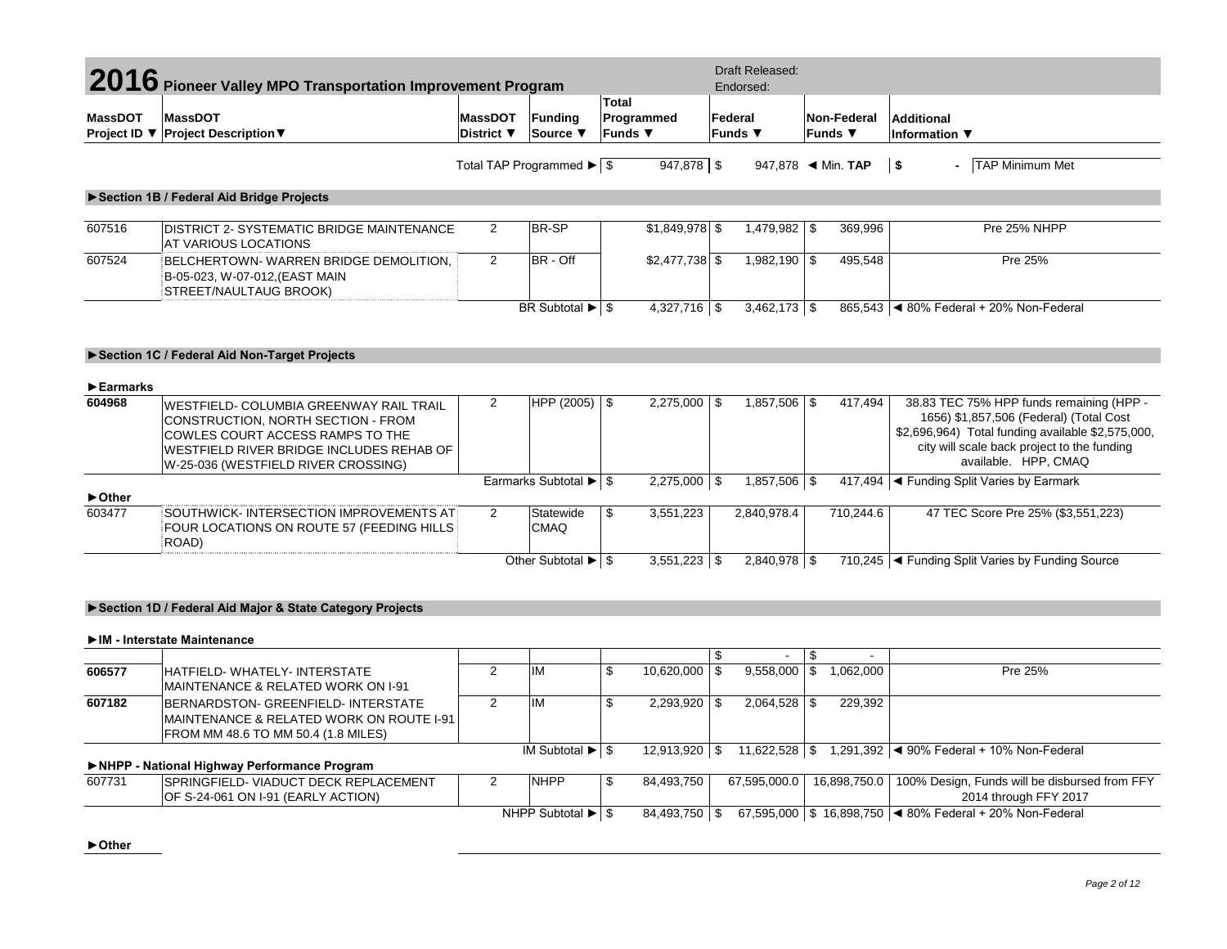|                                | 2016 Pioneer Valley MPO Transportation Improvement Program                                                                                                                                           |                              |                                                |                                              |     | <b>Draft Released:</b><br>Endorsed: |                               |           |                                                                                                                                                                                                                 |
|--------------------------------|------------------------------------------------------------------------------------------------------------------------------------------------------------------------------------------------------|------------------------------|------------------------------------------------|----------------------------------------------|-----|-------------------------------------|-------------------------------|-----------|-----------------------------------------------------------------------------------------------------------------------------------------------------------------------------------------------------------------|
| <b>MassDOT</b><br>Project ID ▼ | <b>MassDOT</b><br><b>Project Description ▼</b>                                                                                                                                                       | <b>MassDOT</b><br>District ▼ | <b>Funding</b><br>Source ▼                     | <b>Total</b><br>Programmed<br><b>Funds</b> ▼ |     | Federal<br><b>Funds ▼</b>           | Non-Federal<br><b>Funds</b> ▼ |           | Additional<br>Information $\blacktriangledown$                                                                                                                                                                  |
|                                |                                                                                                                                                                                                      |                              | Total TAP Programmed ▶ S                       | 947,878 \$                                   |     |                                     |                               |           | $\vert$ \$<br>- TAP Minimum Met                                                                                                                                                                                 |
|                                | Section 1B / Federal Aid Bridge Projects                                                                                                                                                             |                              |                                                |                                              |     |                                     |                               |           |                                                                                                                                                                                                                 |
| 607516                         | <b>DISTRICT 2- SYSTEMATIC BRIDGE MAINTENANCE</b><br>AT VARIOUS LOCATIONS                                                                                                                             | 2                            | BR-SP                                          | $$1,849,978$ \$                              |     | 1,479,982 \$                        |                               | 369,996   | Pre 25% NHPP                                                                                                                                                                                                    |
| 607524                         | BELCHERTOWN-WARREN BRIDGE DEMOLITION.<br>B-05-023, W-07-012, (EAST MAIN<br>STREET/NAULTAUG BROOK)                                                                                                    | $\overline{2}$               | BR - Off                                       | $$2,477,738$ \$                              |     | $1,982,190$ \$                      |                               | 495,548   | Pre 25%                                                                                                                                                                                                         |
|                                |                                                                                                                                                                                                      |                              | BR Subtotal $\blacktriangleright$ $\mid$ \$    | $4,327,716$ \$                               |     | $3,462,173$ \$                      |                               |           | 865,543 4 80% Federal + 20% Non-Federal                                                                                                                                                                         |
|                                | Section 1C / Federal Aid Non-Target Projects                                                                                                                                                         |                              |                                                |                                              |     |                                     |                               |           |                                                                                                                                                                                                                 |
| $\blacktriangleright$ Earmarks |                                                                                                                                                                                                      |                              |                                                |                                              |     |                                     |                               |           |                                                                                                                                                                                                                 |
| 604968                         | WESTFIELD- COLUMBIA GREENWAY RAIL TRAIL<br>CONSTRUCTION, NORTH SECTION - FROM<br>COWLES COURT ACCESS RAMPS TO THE<br>WESTFIELD RIVER BRIDGE INCLUDES REHAB OF<br>W-25-036 (WESTFIELD RIVER CROSSING) | 2                            | HPP $(2005)$ \$                                | $2,275,000$ \$                               |     | $1,857,506$ \$                      |                               | 417,494   | 38.83 TEC 75% HPP funds remaining (HPP -<br>1656) \$1,857,506 (Federal) (Total Cost<br>\$2,696,964) Total funding available \$2,575,000,<br>city will scale back project to the funding<br>available. HPP. CMAQ |
| ▶ Other                        |                                                                                                                                                                                                      |                              | Earmarks Subtotal $\blacktriangleright$ \$     | $2,275,000$ \$                               |     | $1,857,506$ \$                      |                               |           | 417,494  ◀ Funding Split Varies by Earmark                                                                                                                                                                      |
| 603477                         | SOUTHWICK-INTERSECTION IMPROVEMENTS AT<br>FOUR LOCATIONS ON ROUTE 57 (FEEDING HILLS<br>ROAD)                                                                                                         | $\overline{2}$               | Statewide<br><b>CMAQ</b>                       | \$<br>3,551,223                              |     | 2,840,978.4                         |                               | 710,244.6 | 47 TEC Score Pre 25% (\$3,551,223)                                                                                                                                                                              |
|                                |                                                                                                                                                                                                      |                              | Other Subtotal $\blacktriangleright$ $\mid$ \$ | $3,551,223$ \$                               |     | $2,840,978$ \$                      |                               |           | 710,245   Funding Split Varies by Funding Source                                                                                                                                                                |
|                                | Section 1D / Federal Aid Major & State Category Projects                                                                                                                                             |                              |                                                |                                              |     |                                     |                               |           |                                                                                                                                                                                                                 |
|                                | IM - Interstate Maintenance                                                                                                                                                                          |                              |                                                |                                              |     |                                     |                               |           |                                                                                                                                                                                                                 |
|                                |                                                                                                                                                                                                      |                              |                                                |                                              | \$. |                                     | $\sqrt{3}$                    |           |                                                                                                                                                                                                                 |

| 606577 | HATFIELD-WHATELY-INTERSTATE<br><b>IMAINTENANCE &amp; RELATED WORK ON I-91</b>                                                      | <b>IM</b>                                     | 10,620,000    | 9,558,000         | 1,062,000    | Pre 25%                                                                |
|--------|------------------------------------------------------------------------------------------------------------------------------------|-----------------------------------------------|---------------|-------------------|--------------|------------------------------------------------------------------------|
| 607182 | BERNARDSTON- GREENFIELD- INTERSTATE<br><b>IMAINTENANCE &amp; RELATED WORK ON ROUTE I-91</b><br>FROM MM 48.6 TO MM 50.4 (1.8 MILES) | <b>IM</b>                                     | 2,293,920     |                   | 229,392      |                                                                        |
|        |                                                                                                                                    | IM Subtotal $\blacktriangleright$ $\mid$ \$   | 12,913,920 \$ | $11,622,528$ \ \$ |              | 1,291,392 $\blacktriangleleft$ 90% Federal + 10% Non-Federal           |
|        | ▶NHPP - National Highway Performance Program                                                                                       |                                               |               |                   |              |                                                                        |
| 607731 | SPRINGFIELD- VIADUCT DECK REPLACEMENT<br>OF S-24-061 ON I-91 (EARLY ACTION)                                                        | <b>NHPP</b>                                   | 84.493.750    | 67,595,000.0      | 16,898,750.0 | 100% Design, Funds will be disbursed from FFY<br>2014 through FFY 2017 |
|        |                                                                                                                                    | NHPP Subtotal $\blacktriangleright$ $\mid$ \$ | 84,493,750 \$ |                   |              | 67,595,000   \$ 16,898,750   ◀ 80% Federal + 20% Non-Federal           |

**►Other**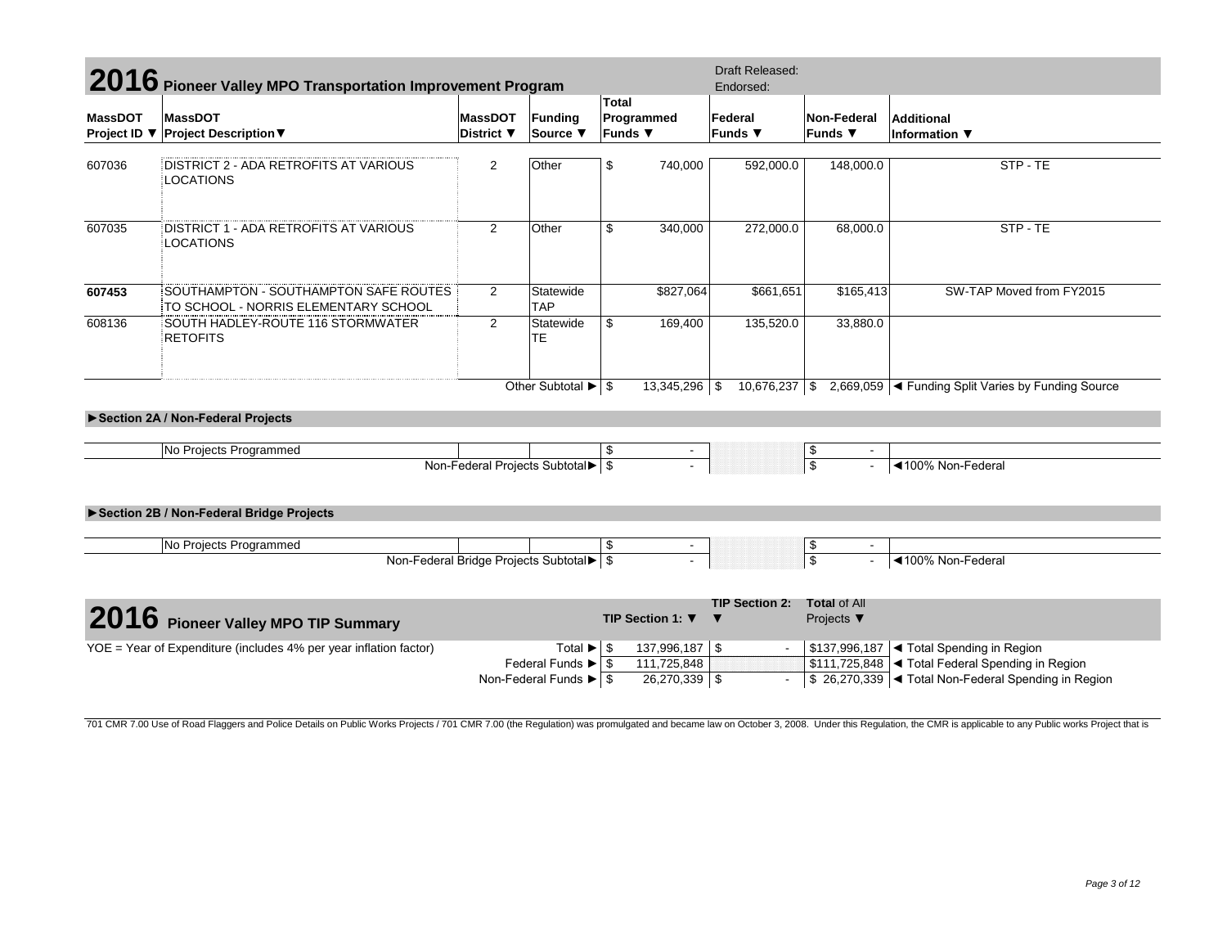|                | 2016 Pioneer Valley MPO Transportation Improvement Program                    |                   | Draft Released:                               |            |                  |                       |                                |                                                                             |  |
|----------------|-------------------------------------------------------------------------------|-------------------|-----------------------------------------------|------------|------------------|-----------------------|--------------------------------|-----------------------------------------------------------------------------|--|
|                |                                                                               |                   |                                               | Total      |                  | Endorsed:             |                                |                                                                             |  |
| <b>MassDOT</b> | <b>MassDOT</b>                                                                | <b>MassDOT</b>    | <b>Funding</b>                                | Programmed |                  | Federal               | Non-Federal                    | <b>Additional</b>                                                           |  |
| Project ID ▼   | <b>Project Description ▼</b>                                                  | District $\nabla$ | Source ▼                                      | Funds ▼    |                  | <b>Funds</b> ▼        | <b>Funds</b> ▼                 | Information ▼                                                               |  |
|                |                                                                               |                   |                                               |            |                  |                       |                                |                                                                             |  |
| 607036         | DISTRICT 2 - ADA RETROFITS AT VARIOUS<br>LOCATIONS                            | $\overline{c}$    | Other                                         | \$         | 740,000          | 592,000.0             | 148,000.0                      | STP-TE                                                                      |  |
| 607035         | DISTRICT 1 - ADA RETROFITS AT VARIOUS<br>LOCATIONS                            | $\overline{2}$    | Other                                         | \$         | 340,000          | 272,000.0             | 68,000.0                       | STP - TE                                                                    |  |
| 607453         | SOUTHAMPTON - SOUTHAMPTON SAFE ROUTES<br>TO SCHOOL - NORRIS ELEMENTARY SCHOOL | $\overline{2}$    | Statewide<br><b>TAP</b>                       |            | \$827,064        | \$661,651             | \$165,413                      | SW-TAP Moved from FY2015                                                    |  |
| 608136         | SOUTH HADLEY-ROUTE 116 STORMWATER<br><b>RETOFITS</b>                          | 2                 | Statewide<br><b>TE</b>                        | \$         | 169,400          | 135,520.0             | 33,880.0                       |                                                                             |  |
|                | Section 2A / Non-Federal Projects                                             |                   | Other Subtotal $\blacktriangleright$ \$       |            | $13,345,296$ \$  | 10,676,237 \$         |                                | 2,669,059 < Funding Split Varies by Funding Source                          |  |
|                |                                                                               |                   |                                               |            |                  |                       |                                |                                                                             |  |
|                | No Projects Programmed                                                        |                   |                                               | \$         |                  |                       | \$                             |                                                                             |  |
|                |                                                                               |                   | Non-Federal Projects Subtotal▶ \$             |            |                  |                       | $\overline{\mathsf{s}}$        | ◀100% Non-Federal                                                           |  |
|                | Section 2B / Non-Federal Bridge Projects                                      |                   |                                               |            |                  |                       |                                |                                                                             |  |
|                |                                                                               |                   |                                               |            |                  |                       |                                |                                                                             |  |
|                | No Projects Programmed                                                        |                   |                                               | \$         |                  |                       | \$<br>$\overline{\phantom{a}}$ |                                                                             |  |
|                |                                                                               |                   | Non-Federal Bridge Projects Subtotal > \$     |            |                  |                       | $\overline{\mathcal{S}}$       | ◀100% Non-Federal                                                           |  |
|                |                                                                               |                   |                                               |            |                  | <b>TIP Section 2:</b> | <b>Total of All</b>            |                                                                             |  |
|                | 2016 Pioneer Valley MPO TIP Summary                                           |                   |                                               |            | TIP Section 1: ▼ |                       | Projects $\blacktriangledown$  |                                                                             |  |
|                | YOE = Year of Expenditure (includes 4% per year inflation factor)             |                   | Total $\blacktriangleright$ \$                |            | 137,996,187 \$   |                       |                                | \$137,996,187   Total Spending in Region                                    |  |
|                |                                                                               |                   | Federal Funds $\blacktriangleright$ $\mid$ \$ |            | 111,725,848      |                       |                                | \$111,725,848 <total federal="" in="" region<="" spending="" td=""></total> |  |
|                |                                                                               |                   | Non-Federal Funds $\blacktriangleright$ \ \$  |            | $26,270,339$ \$  |                       |                                | \$ 26,270,339 < Total Non-Federal Spending in Region                        |  |

701 CMR 7.00 Use of Road Flaggers and Police Details on Public Works Projects / 701 CMR 7.00 (the Regulation) was promulgated and became law on October 3, 2008. Under this Regulation, the CMR is applicable to any Public wo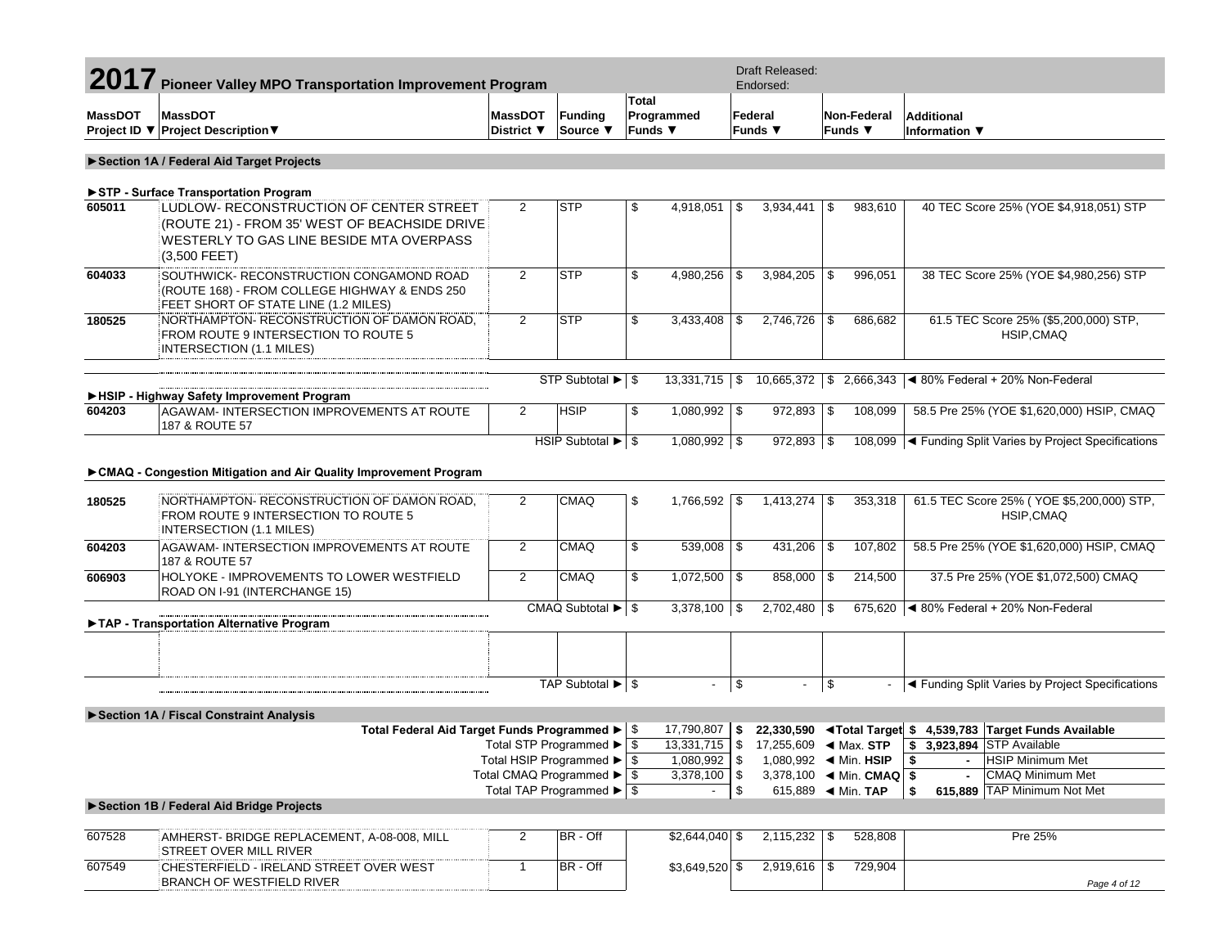| 2017           | <b>Pioneer Valley MPO Transportation Improvement Program</b>                                                                                           |                              |                                                         |                                            |                          |            | <b>Draft Released:</b><br>Endorsed:         |            |                                    |                                                                                  |
|----------------|--------------------------------------------------------------------------------------------------------------------------------------------------------|------------------------------|---------------------------------------------------------|--------------------------------------------|--------------------------|------------|---------------------------------------------|------------|------------------------------------|----------------------------------------------------------------------------------|
| <b>MassDOT</b> | <b>MassDOT</b><br>Project ID ▼ Project Description ▼                                                                                                   | <b>MassDOT</b><br>District ▼ | Funding<br>Source ▼                                     | <b>Total</b><br>Funds $\blacktriangledown$ | Programmed               |            | Federal<br>Funds $\Psi$                     |            | <b>Non-Federal</b><br>Funds $\Psi$ | <b>Additional</b><br>Information ▼                                               |
|                |                                                                                                                                                        |                              |                                                         |                                            |                          |            |                                             |            |                                    |                                                                                  |
|                | Section 1A / Federal Aid Target Projects                                                                                                               |                              |                                                         |                                            |                          |            |                                             |            |                                    |                                                                                  |
|                | STP - Surface Transportation Program                                                                                                                   |                              |                                                         |                                            |                          |            |                                             |            |                                    |                                                                                  |
| 605011         | LUDLOW- RECONSTRUCTION OF CENTER STREET<br>(ROUTE 21) - FROM 35' WEST OF BEACHSIDE DRIVE<br>WESTERLY TO GAS LINE BESIDE MTA OVERPASS<br>$(3,500$ FEET) | $\overline{2}$               | <b>STP</b>                                              | \$                                         | 4,918,051                | -\$        | 3,934,441                                   | \$         | 983,610                            | 40 TEC Score 25% (YOE \$4,918,051) STP                                           |
| 604033         | SOUTHWICK- RECONSTRUCTION CONGAMOND ROAD<br>(ROUTE 168) - FROM COLLEGE HIGHWAY & ENDS 250<br>FEET SHORT OF STATE LINE (1.2 MILES)                      | $\overline{2}$               | <b>STP</b>                                              | \$                                         | 4,980,256                | l \$       | $3,984,205$ \$                              |            | 996,051                            | 38 TEC Score 25% (YOE \$4,980,256) STP                                           |
| 180525         | NORTHAMPTON-RECONSTRUCTION OF DAMON ROAD,<br>FROM ROUTE 9 INTERSECTION TO ROUTE 5<br>INTERSECTION (1.1 MILES)                                          | $\overline{2}$               | <b>STP</b>                                              | \$                                         | 3,433,408                | l \$       | $2,746,726$ \$                              |            | 686,682                            | 61.5 TEC Score 25% (\$5,200,000) STP,<br>HSIP, CMAQ                              |
|                |                                                                                                                                                        |                              | STP Subtotal ▶ \$                                       |                                            | $13,331,715$ \$          |            | $10,665,372$ \$                             |            |                                    | 2,666,343 $\blacktriangleleft$ 80% Federal + 20% Non-Federal                     |
|                | HSIP - Highway Safety Improvement Program<br>AGAWAM- INTERSECTION IMPROVEMENTS AT ROUTE                                                                | $\overline{2}$               | <b>HSIP</b>                                             |                                            | $1,080,992$ \$           |            | 972,893 \$                                  |            | 108,099                            | 58.5 Pre 25% (YOE \$1,620,000) HSIP, CMAQ                                        |
| 604203         | 187 & ROUTE 57                                                                                                                                         |                              |                                                         | \$                                         |                          |            |                                             |            |                                    |                                                                                  |
|                |                                                                                                                                                        |                              | HSIP Subtotal ▶ \$                                      |                                            | $1,080,992$ \$           |            | 972,893 \$                                  |            |                                    | 108,099  ◀ Funding Split Varies by Project Specifications                        |
|                | ► CMAQ - Congestion Mitigation and Air Quality Improvement Program                                                                                     |                              |                                                         |                                            |                          |            |                                             |            |                                    |                                                                                  |
| 180525         | NORTHAMPTON-RECONSTRUCTION OF DAMON ROAD,<br>FROM ROUTE 9 INTERSECTION TO ROUTE 5<br>INTERSECTION (1.1 MILES)                                          | $\overline{2}$               | <b>CMAQ</b>                                             | \$                                         | 1,766,592                | $\vert$ \$ | $1,413,274$ \\$                             |            | 353,318                            | 61.5 TEC Score 25% (YOE \$5,200,000) STP,<br>HSIP, CMAQ                          |
| 604203         | AGAWAM-INTERSECTION IMPROVEMENTS AT ROUTE<br>187 & ROUTE 57                                                                                            | $\overline{2}$               | <b>CMAQ</b>                                             | \$                                         | $539,008$ \$             |            | $431,206$ \$                                |            | 107,802                            | 58.5 Pre 25% (YOE \$1,620,000) HSIP, CMAQ                                        |
| 606903         | HOLYOKE - IMPROVEMENTS TO LOWER WESTFIELD<br>ROAD ON I-91 (INTERCHANGE 15)                                                                             | $\overline{2}$               | <b>CMAQ</b>                                             | \$                                         | $1,072,500$ \$           |            | 858,000 \$                                  |            | 214,500                            | 37.5 Pre 25% (YOE \$1,072,500) CMAQ                                              |
|                |                                                                                                                                                        |                              | CMAQ Subtotal $\blacktriangleright$ \ \$                |                                            | $3,378,100$ \$           |            | $2,702,480$ \$                              |            |                                    | 675,620 $\blacktriangleleft$ 80% Federal + 20% Non-Federal                       |
|                | TAP - Transportation Alternative Program                                                                                                               |                              |                                                         |                                            |                          |            |                                             |            |                                    |                                                                                  |
|                |                                                                                                                                                        |                              |                                                         |                                            |                          |            |                                             |            |                                    |                                                                                  |
|                |                                                                                                                                                        |                              | TAP Subtotal ▶ \$                                       |                                            |                          | \$         | $\blacksquare$                              | $\sqrt{3}$ |                                    | ◀ Funding Split Varies by Project Specifications                                 |
|                | Section 1A / Fiscal Constraint Analysis                                                                                                                |                              |                                                         |                                            |                          |            |                                             |            |                                    |                                                                                  |
|                | Total Federal Aid Target Funds Programmed ▶ S                                                                                                          |                              |                                                         |                                            | 17,790,807               | <b>\$</b>  |                                             |            |                                    | 22,330,590 <total \$4,539,783="" available<="" funds="" target="" td=""></total> |
|                |                                                                                                                                                        |                              | Total STP Programmed ▶   \$                             |                                            |                          |            |                                             |            |                                    | $\frac{1}{2}$ 3,923,894 STP Available                                            |
|                |                                                                                                                                                        |                              | Total HSIP Programmed $\blacktriangleright$ $\sqrt{\$}$ |                                            | 1,080,992 \$             |            |                                             |            |                                    | <b>HSIP Minimum Met</b><br>\$                                                    |
|                |                                                                                                                                                        |                              | Total CMAQ Programmed $\blacktriangleright$ $\sqrt{\$}$ |                                            | 3,378,100                | $\sqrt{3}$ | 3,378,100 $\blacktriangleleft$ Min. CMAQ \$ |            |                                    | <b>CMAQ Minimum Met</b>                                                          |
|                |                                                                                                                                                        |                              | Total TAP Programmed $\blacktriangleright$ $\sqrt{\$}$  |                                            | $\overline{\phantom{a}}$ | \$         | 615,889 			 Min. TAP                        |            |                                    | 615,889 TAP Minimum Not Met<br>\$                                                |
|                | Section 1B / Federal Aid Bridge Projects                                                                                                               |                              |                                                         |                                            |                          |            |                                             |            |                                    |                                                                                  |
| 607528         | AMHERST- BRIDGE REPLACEMENT, A-08-008, MILL<br><b>STREET OVER MILL RIVER</b>                                                                           | $\overline{2}$               | BR - Off                                                |                                            | $$2,644,040$ \\$         |            | $2,115,232$ \$                              |            | 528,808                            | Pre 25%                                                                          |
| 607549         | CHESTERFIELD - IRELAND STREET OVER WEST<br><b>BRANCH OF WESTFIELD RIVER</b>                                                                            | $\mathbf{1}$                 | BR - Off                                                |                                            | $$3,649,520$ \$          |            | $2,919,616$ \$                              |            | 729,904                            | Page 4 of 12                                                                     |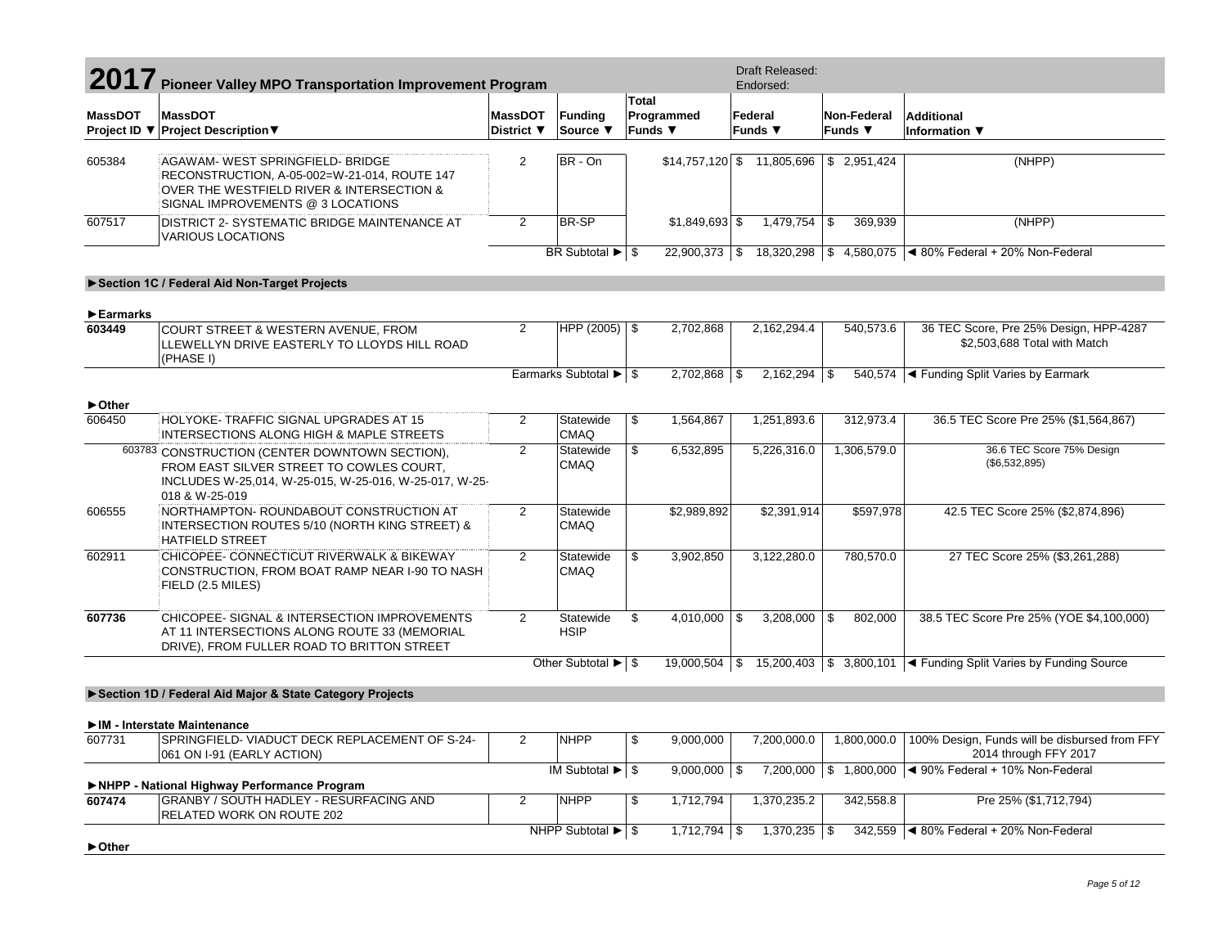| 2017 Pioneer Valley MPO Transportation Improvement Program |                                                                                                                                                                        |                              |                                                         |                                     | <b>Draft Released:</b><br>Endorsed:   |                                           |                                                                                      |
|------------------------------------------------------------|------------------------------------------------------------------------------------------------------------------------------------------------------------------------|------------------------------|---------------------------------------------------------|-------------------------------------|---------------------------------------|-------------------------------------------|--------------------------------------------------------------------------------------|
| <b>MassDOT</b>                                             | <b>MassDOT</b><br>Project ID ▼ Project Description ▼                                                                                                                   | <b>MassDOT</b><br>District ▼ | <b>Funding</b><br>Source ▼                              | Total<br>Programmed<br>Funds $\Psi$ | Federal<br>Funds $\blacktriangledown$ | Non-Federal<br>Funds ▼                    | <b>Additional</b><br>Information ▼                                                   |
| 605384                                                     | AGAWAM- WEST SPRINGFIELD- BRIDGE<br>RECONSTRUCTION, A-05-002=W-21-014, ROUTE 147<br>OVER THE WESTFIELD RIVER & INTERSECTION &<br>SIGNAL IMPROVEMENTS @ 3 LOCATIONS     | 2                            | BR - On                                                 |                                     |                                       | $$14,757,120$ \ \$1.805,696 \ \$2,951,424 | (NHPP)                                                                               |
| 607517                                                     | DISTRICT 2- SYSTEMATIC BRIDGE MAINTENANCE AT<br><b>VARIOUS LOCATIONS</b>                                                                                               | $\overline{2}$               | BR-SP                                                   | $$1,849,693$ \$                     | $1,479,754$ \$                        | 369,939                                   | (NHPP)                                                                               |
|                                                            |                                                                                                                                                                        |                              | BR Subtotal $\blacktriangleright$ $\mid$ \$             |                                     |                                       |                                           | 22,900,373 \$ 18,320,298 \$ 4,580,075 < 80% Federal + 20% Non-Federal                |
|                                                            | Section 1C / Federal Aid Non-Target Projects                                                                                                                           |                              |                                                         |                                     |                                       |                                           |                                                                                      |
| Earmarks                                                   |                                                                                                                                                                        |                              |                                                         |                                     |                                       |                                           |                                                                                      |
| 603449                                                     | COURT STREET & WESTERN AVENUE, FROM<br>LLEWELLYN DRIVE EASTERLY TO LLOYDS HILL ROAD<br>(PHASE I)                                                                       | $\overline{2}$               | HPP $(2005)$ \$                                         | 2,702,868                           | 2,162,294.4                           | 540,573.6                                 | 36 TEC Score, Pre 25% Design, HPP-4287<br>\$2,503,688 Total with Match               |
|                                                            |                                                                                                                                                                        |                              | Earmarks Subtotal ▶   \$                                | $2,702,868$ \$                      | $2,162,294$ \$                        |                                           | 540,574 < Funding Split Varies by Earmark                                            |
| ▶ Other                                                    |                                                                                                                                                                        |                              |                                                         |                                     |                                       |                                           |                                                                                      |
| 606450                                                     | HOLYOKE-TRAFFIC SIGNAL UPGRADES AT 15<br><b>INTERSECTIONS ALONG HIGH &amp; MAPLE STREETS</b>                                                                           | $\overline{2}$               | Statewide<br><b>CMAQ</b>                                | \$<br>1,564,867                     | 1,251,893.6                           | 312,973.4                                 | 36.5 TEC Score Pre 25% (\$1,564,867)                                                 |
|                                                            | 603783 CONSTRUCTION (CENTER DOWNTOWN SECTION),<br>FROM EAST SILVER STREET TO COWLES COURT,<br>INCLUDES W-25,014, W-25-015, W-25-016, W-25-017, W-25-<br>018 & W-25-019 | 2                            | Statewide<br><b>CMAQ</b>                                | \$<br>6,532,895                     | 5,226,316.0                           | 1,306,579.0                               | 36.6 TEC Score 75% Design<br>(\$6,532,895)                                           |
| 606555                                                     | NORTHAMPTON- ROUNDABOUT CONSTRUCTION AT<br>INTERSECTION ROUTES 5/10 (NORTH KING STREET) &<br><b>HATFIELD STREET</b>                                                    | $\overline{2}$               | Statewide<br>CMAQ                                       | \$2,989,892                         | \$2,391,914                           | \$597,978                                 | 42.5 TEC Score 25% (\$2,874,896)                                                     |
| 602911                                                     | CHICOPEE- CONNECTICUT RIVERWALK & BIKEWAY<br>CONSTRUCTION, FROM BOAT RAMP NEAR I-90 TO NASH<br>FIELD (2.5 MILES)                                                       | $\overline{2}$               | Statewide<br>CMAQ                                       | \$<br>3,902,850                     | 3,122,280.0                           | 780,570.0                                 | 27 TEC Score 25% (\$3,261,288)                                                       |
| 607736                                                     | CHICOPEE- SIGNAL & INTERSECTION IMPROVEMENTS<br>AT 11 INTERSECTIONS ALONG ROUTE 33 (MEMORIAL<br>DRIVE), FROM FULLER ROAD TO BRITTON STREET                             | $\overline{2}$               | Statewide<br><b>HSIP</b>                                | \$<br>$4,010,000$ \\$               | $3,208,000$ \\$                       | 802,000                                   | 38.5 TEC Score Pre 25% (YOE \$4,100,000)                                             |
|                                                            |                                                                                                                                                                        |                              | Other Subtotal $\blacktriangleright$ $\mid$ \$          |                                     |                                       |                                           | 19,000,504   \$ 15,200,403   \$ 3,800,101   < Funding Split Varies by Funding Source |
|                                                            | Section 1D / Federal Aid Major & State Category Projects                                                                                                               |                              |                                                         |                                     |                                       |                                           |                                                                                      |
|                                                            |                                                                                                                                                                        |                              |                                                         |                                     |                                       |                                           |                                                                                      |
| 607731                                                     | IM - Interstate Maintenance<br>SPRINGFIELD- VIADUCT DECK REPLACEMENT OF S-24-<br>061 ON I-91 (EARLY ACTION)                                                            | 2                            | <b>NHPP</b>                                             | \$<br>9,000,000                     | 7,200,000.0                           | 1,800,000.0                               | 100% Design, Funds will be disbursed from FFY<br>2014 through FFY 2017               |
|                                                            |                                                                                                                                                                        |                              | IM Subtotal $\blacktriangleright$ $\blacktriangleright$ | $9,000,000$ \\$                     |                                       | 7,200,000 \$ 1,800,000                    | ◀ 90% Federal + 10% Non-Federal                                                      |
| 607474                                                     | NHPP - National Highway Performance Program<br>GRANBY / SOUTH HADLEY - RESURFACING AND<br>RELATED WORK ON ROUTE 202                                                    | $\overline{2}$               | <b>NHPP</b>                                             | \$<br>1,712,794                     | 1,370,235.2                           | 342,558.8                                 | Pre 25% (\$1,712,794)                                                                |
| ► Other                                                    |                                                                                                                                                                        |                              | NHPP Subtotal $\blacktriangleright$ $\mid$ \$           | $1,712,794$ \\$                     | $1,370,235$ \$                        |                                           | 342,559 4 80% Federal + 20% Non-Federal                                              |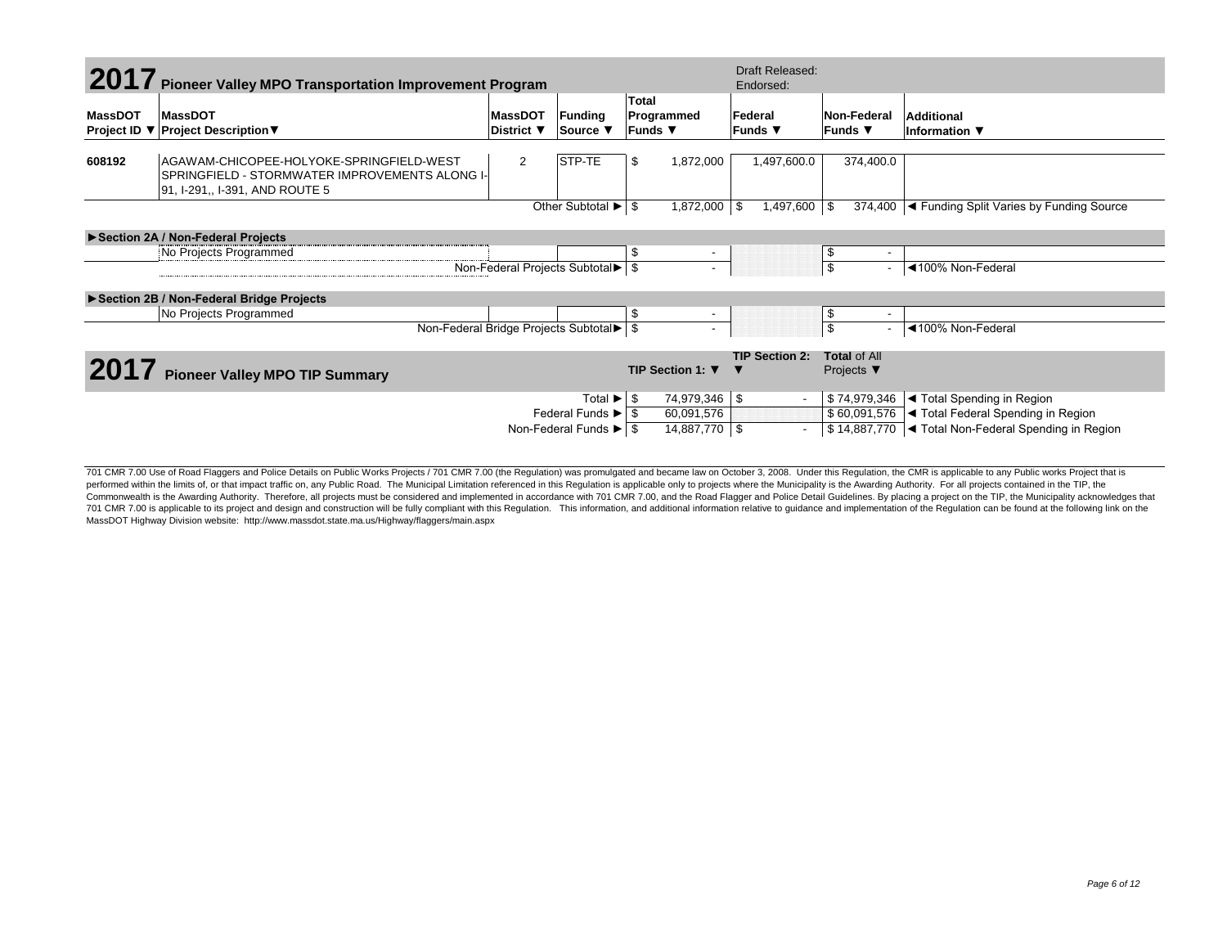|                | 2017 Pioneer Valley MPO Transportation Improvement Program                                                                   |                              |                                                   |                                       | Draft Released:<br>Endorsed: |                                                     |                                                      |
|----------------|------------------------------------------------------------------------------------------------------------------------------|------------------------------|---------------------------------------------------|---------------------------------------|------------------------------|-----------------------------------------------------|------------------------------------------------------|
| <b>MassDOT</b> | MassDOT<br>Project ID ▼ Project Description ▼                                                                                | <b>MassDOT</b><br>District ▼ | Funding<br>Source ▼                               | <b>Total</b><br>Programmed<br>Funds ▼ | Federal<br>Funds ▼           | Non-Federal<br>lFunds ▼                             | Additional<br>Information $\blacktriangledown$       |
| 608192         | AGAWAM-CHICOPEE-HOLYOKE-SPRINGFIELD-WEST<br>SPRINGFIELD - STORMWATER IMPROVEMENTS ALONG I-<br>91, I-291,, I-391, AND ROUTE 5 | $\overline{2}$               | STP-TE                                            | 1,872,000<br>\$                       | 1,497,600.0                  | 374,400.0                                           |                                                      |
|                |                                                                                                                              |                              | Other Subtotal $\blacktriangleright$ $\mid$ \$    | $1,872,000$ \ \$                      | 1,497,600 \$                 | 374,400                                             | ◀ Funding Split Varies by Funding Source             |
|                | Section 2A / Non-Federal Projects                                                                                            |                              |                                                   |                                       |                              |                                                     |                                                      |
|                | No Projects Programmed                                                                                                       |                              |                                                   | \$<br>$\overline{\phantom{a}}$        |                              | -\$<br>$\overline{\phantom{a}}$                     |                                                      |
|                |                                                                                                                              |                              | Non-Federal Projects Subtotal ► \$                |                                       |                              | $\overline{\mathbf{s}}$<br>$\overline{\phantom{0}}$ | ◀100% Non-Federal                                    |
|                | ▶ Section 2B / Non-Federal Bridge Projects                                                                                   |                              |                                                   |                                       |                              |                                                     |                                                      |
|                | No Projects Programmed                                                                                                       |                              |                                                   | \$<br>$\overline{\phantom{a}}$        |                              | \$<br>٠                                             |                                                      |
|                |                                                                                                                              |                              | Non-Federal Bridge Projects Subtotal > \$         |                                       |                              | $\overline{\mathcal{S}}$                            | ◀100% Non-Federal                                    |
|                |                                                                                                                              |                              |                                                   |                                       | <b>TIP Section 2:</b>        | <b>Total of All</b>                                 |                                                      |
|                | <b>Pioneer Valley MPO TIP Summary</b>                                                                                        |                              |                                                   | TIP Section 1: ▼                      |                              | Projects $\blacktriangledown$                       |                                                      |
|                |                                                                                                                              |                              | Total $\blacktriangleright$ $\mid$ \$             | 74,979,346 \$                         |                              | \$74,979,346                                        | ◀ Total Spending in Region                           |
|                |                                                                                                                              |                              | Federal Funds $\blacktriangleright$ $\mid$ \$     | 60,091,576                            |                              | \$60,091,576                                        | ◀ Total Federal Spending in Region                   |
|                |                                                                                                                              |                              | Non-Federal Funds $\blacktriangleright$ $\mid$ \$ | 14,887,770 \$                         |                              |                                                     | \$14,887,770  ◀ Total Non-Federal Spending in Region |

701 CMR 7.00 Use of Road Flaggers and Police Details on Public Works Projects / 701 CMR 7.00 (the Regulation) was promulgated and became law on October 3, 2008. Under this Regulation, the CMR is applicable to any Public wo performed within the limits of, or that impact traffic on, any Public Road. The Municipal Limitation referenced in this Regulation is applicable only to projects where the Municipality is the Awarding Authority. For all pr Commonwealth is the Awarding Authority. Therefore, all projects must be considered and implemented in accordance with 701 CMR 7.00, and the Road Flagger and Police Detail Guidelines. By placing a project on the TIP, the Mu 701 CMR 7.00 is applicable to its project and design and construction will be fully compliant with this Regulation. This information, and additional information relative to guidance and implementation of the Regulation can MassDOT Highway Division website: http://www.massdot.state.ma.us/Highway/flaggers/main.aspx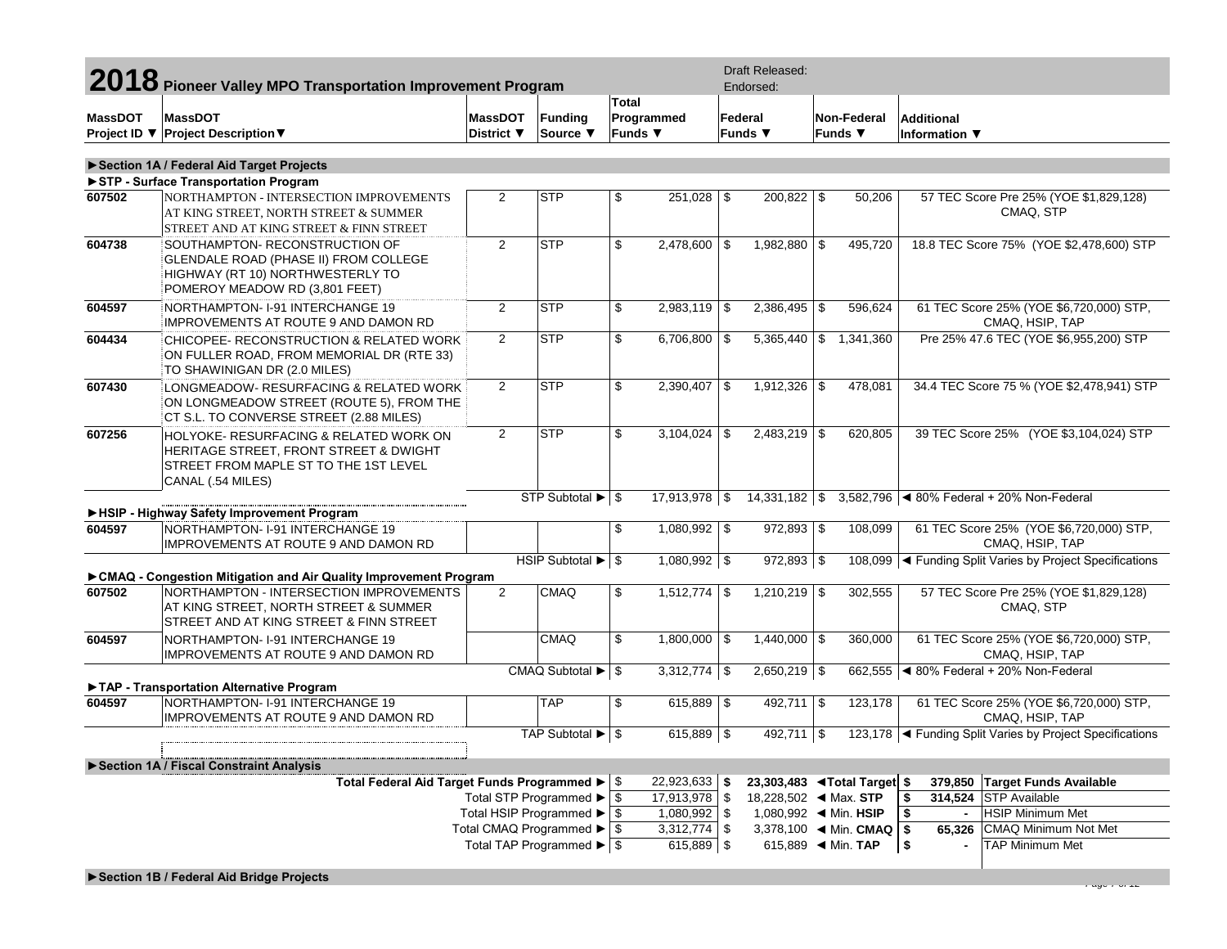|                | 2018 Pioneer Valley MPO Transportation Improvement Program                                                                                                                                        |                                                    |                                              |                                     | <b>Draft Released:</b><br>Endorsed: |                                    |                                       |                                               |            |                                                |                                                            |
|----------------|---------------------------------------------------------------------------------------------------------------------------------------------------------------------------------------------------|----------------------------------------------------|----------------------------------------------|-------------------------------------|-------------------------------------|------------------------------------|---------------------------------------|-----------------------------------------------|------------|------------------------------------------------|------------------------------------------------------------|
| <b>MassDOT</b> | <b>MassDOT</b><br>Project ID ▼ Project Description ▼                                                                                                                                              | <b>MassDOT</b><br>District ▼                       | Funding<br>Source ▼                          | Total<br>Funds $\blacktriangledown$ | Programmed                          |                                    | Federal<br>Funds $\blacktriangledown$ | Non-Federal<br>Funds ▼                        |            | Additional<br>Information $\blacktriangledown$ |                                                            |
|                | Section 1A / Federal Aid Target Projects<br>STP - Surface Transportation Program                                                                                                                  |                                                    |                                              |                                     |                                     |                                    |                                       |                                               |            |                                                |                                                            |
| 607502         | NORTHAMPTON - INTERSECTION IMPROVEMENTS<br>AT KING STREET, NORTH STREET & SUMMER<br>STREET AND AT KING STREET & FINN STREET                                                                       | $\overline{2}$                                     | <b>STP</b>                                   | \$                                  | $251,028$ \$                        |                                    | 200,822 \$                            | 50,206                                        |            |                                                | 57 TEC Score Pre 25% (YOE \$1,829,128)<br>CMAQ, STP        |
| 604738         | SOUTHAMPTON- RECONSTRUCTION OF<br>GLENDALE ROAD (PHASE II) FROM COLLEGE<br>HIGHWAY (RT 10) NORTHWESTERLY TO<br>POMEROY MEADOW RD (3,801 FEET)                                                     | $\overline{2}$                                     | <b>STP</b>                                   | \$                                  | $2,478,600$ \$                      |                                    | 1,982,880 \$                          | 495,720                                       |            |                                                | 18.8 TEC Score 75% (YOE \$2,478,600) STP                   |
| 604597         | NORTHAMPTON-I-91 INTERCHANGE 19<br><b>IMPROVEMENTS AT ROUTE 9 AND DAMON RD</b>                                                                                                                    | $\overline{2}$                                     | <b>STP</b>                                   | \$                                  | $2,983,119$ \$                      |                                    | $2,386,495$ \$                        | 596,624                                       |            |                                                | 61 TEC Score 25% (YOE \$6,720,000) STP,<br>CMAQ, HSIP, TAP |
| 604434         | CHICOPEE- RECONSTRUCTION & RELATED WORK<br>ON FULLER ROAD, FROM MEMORIAL DR (RTE 33)<br>TO SHAWINIGAN DR (2.0 MILES)                                                                              | $\overline{2}$                                     | <b>STP</b>                                   | \$                                  | $6,706,800$ \$                      |                                    | 5,365,440                             | $\frac{1}{2}$ 1,341,360                       |            |                                                | Pre 25% 47.6 TEC (YOE \$6,955,200) STP                     |
| 607430         | LONGMEADOW- RESURFACING & RELATED WORK<br>ON LONGMEADOW STREET (ROUTE 5), FROM THE<br>CT S.L. TO CONVERSE STREET (2.88 MILES)                                                                     | $\overline{2}$                                     | <b>STP</b>                                   | \$                                  | $2,390,407$ \$                      |                                    | $1,912,326$ \$                        | 478,081                                       |            |                                                | 34.4 TEC Score 75 % (YOE \$2,478,941) STP                  |
| 607256         | HOLYOKE- RESURFACING & RELATED WORK ON<br><b>HERITAGE STREET, FRONT STREET &amp; DWIGHT</b><br>STREET FROM MAPLE ST TO THE 1ST LEVEL<br>CANAL (.54 MILES)                                         | $\overline{2}$                                     | <b>STP</b>                                   | \$                                  | $3,104,024$ \$                      |                                    | $2,483,219$ \$                        | 620,805                                       |            |                                                | 39 TEC Score 25% (YOE \$3,104,024) STP                     |
|                |                                                                                                                                                                                                   |                                                    | STP Subtotal $\blacktriangleright$ $\mid$ \$ |                                     | $17,913,978$ \$                     |                                    | $14,331,182$ \$                       |                                               |            |                                                | 3,582,796 < 80% Federal + 20% Non-Federal                  |
| 604597         | HSIP - Highway Safety Improvement Program<br>NORTHAMPTON- I-91 INTERCHANGE 19<br><b>IMPROVEMENTS AT ROUTE 9 AND DAMON RD</b>                                                                      |                                                    |                                              | \$                                  | $1,080,992$ \$                      |                                    | $972,893$ \$                          | 108,099                                       |            |                                                | 61 TEC Score 25% (YOE \$6,720,000) STP,<br>CMAQ, HSIP, TAP |
|                |                                                                                                                                                                                                   |                                                    | HSIP Subtotal $\blacktriangleright$ \ \\$    |                                     | $1,080,992$ \$                      |                                    | $972,893$ \$                          |                                               |            |                                                | 108,099  ◀ Funding Split Varies by Project Specifications  |
| 607502         | ► CMAQ - Congestion Mitigation and Air Quality Improvement Program<br>NORTHAMPTON - INTERSECTION IMPROVEMENTS<br>AT KING STREET, NORTH STREET & SUMMER<br>STREET AND AT KING STREET & FINN STREET | $\overline{2}$                                     | <b>CMAQ</b>                                  | \$                                  | $1,512,774$ \$                      |                                    | $1,210,219$ \$                        | 302,555                                       |            |                                                | 57 TEC Score Pre 25% (YOE \$1,829,128)<br>CMAQ, STP        |
| 604597         | NORTHAMPTON-1-91 INTERCHANGE 19<br><b>IMPROVEMENTS AT ROUTE 9 AND DAMON RD</b>                                                                                                                    |                                                    | <b>CMAQ</b>                                  | \$                                  | $1,800,000$ \$                      |                                    | $1,440,000$ \\$                       | 360,000                                       |            |                                                | 61 TEC Score 25% (YOE \$6,720,000) STP,<br>CMAQ, HSIP, TAP |
|                |                                                                                                                                                                                                   |                                                    | CMAQ Subtotal ▶                              | -\$                                 | $3,312,774$ \$                      |                                    | $2,650,219$ \$                        | 662,555                                       |            |                                                | ◀ 80% Federal + 20% Non-Federal                            |
| 604597         | TAP - Transportation Alternative Program<br>NORTHAMPTON-1-91 INTERCHANGE 19<br>IMPROVEMENTS AT ROUTE 9 AND DAMON RD                                                                               |                                                    | <b>TAP</b>                                   | \$                                  | $615,889$ \$                        |                                    | $492,711$ \$                          | 123,178                                       |            |                                                | 61 TEC Score 25% (YOE \$6,720,000) STP,<br>CMAQ, HSIP, TAP |
|                |                                                                                                                                                                                                   |                                                    | TAP Subtotal ▶ \$                            |                                     | $615,889$ \$                        |                                    | $492,711$ \$                          |                                               |            |                                                | 123,178  ◀ Funding Split Varies by Project Specifications  |
|                | Section 1A / Fiscal Constraint Analysis                                                                                                                                                           |                                                    |                                              |                                     |                                     |                                    |                                       |                                               |            |                                                |                                                            |
|                | Total Federal Aid Target Funds Programmed ▶ \$                                                                                                                                                    |                                                    |                                              | 22,923,633 \$                       |                                     | 23,303,483 <b>◀Total Target</b> \$ |                                       |                                               |            | 379,850 Target Funds Available                 |                                                            |
|                |                                                                                                                                                                                                   | Total STP Programmed ▶                             |                                              | \$                                  | 17,913,978                          | $\sqrt{3}$                         |                                       |                                               | 1\$        |                                                | 314,524 STP Available                                      |
|                |                                                                                                                                                                                                   | Total HSIP Programmed ▶<br>Total CMAQ Programmed ▶ |                                              | \$                                  | $1,080,992$ \$<br>$3,312,774$ \$    |                                    |                                       | 3,378,100 $\blacktriangleleft$ Min. CMAQ   \$ | $\sqrt{2}$ | $\blacksquare$                                 | <b>HSIP Minimum Met</b><br>65,326 CMAQ Minimum Not Met     |
|                |                                                                                                                                                                                                   | Total TAP Programmed ▶ \$                          |                                              | -\$                                 | 615,889 \$                          |                                    |                                       | 615,889 		 Min. TAP                           | $\sqrt{ }$ |                                                | <b>TAP Minimum Met</b>                                     |
|                |                                                                                                                                                                                                   |                                                    |                                              |                                     |                                     |                                    |                                       |                                               |            |                                                |                                                            |

*Page 7 of 12*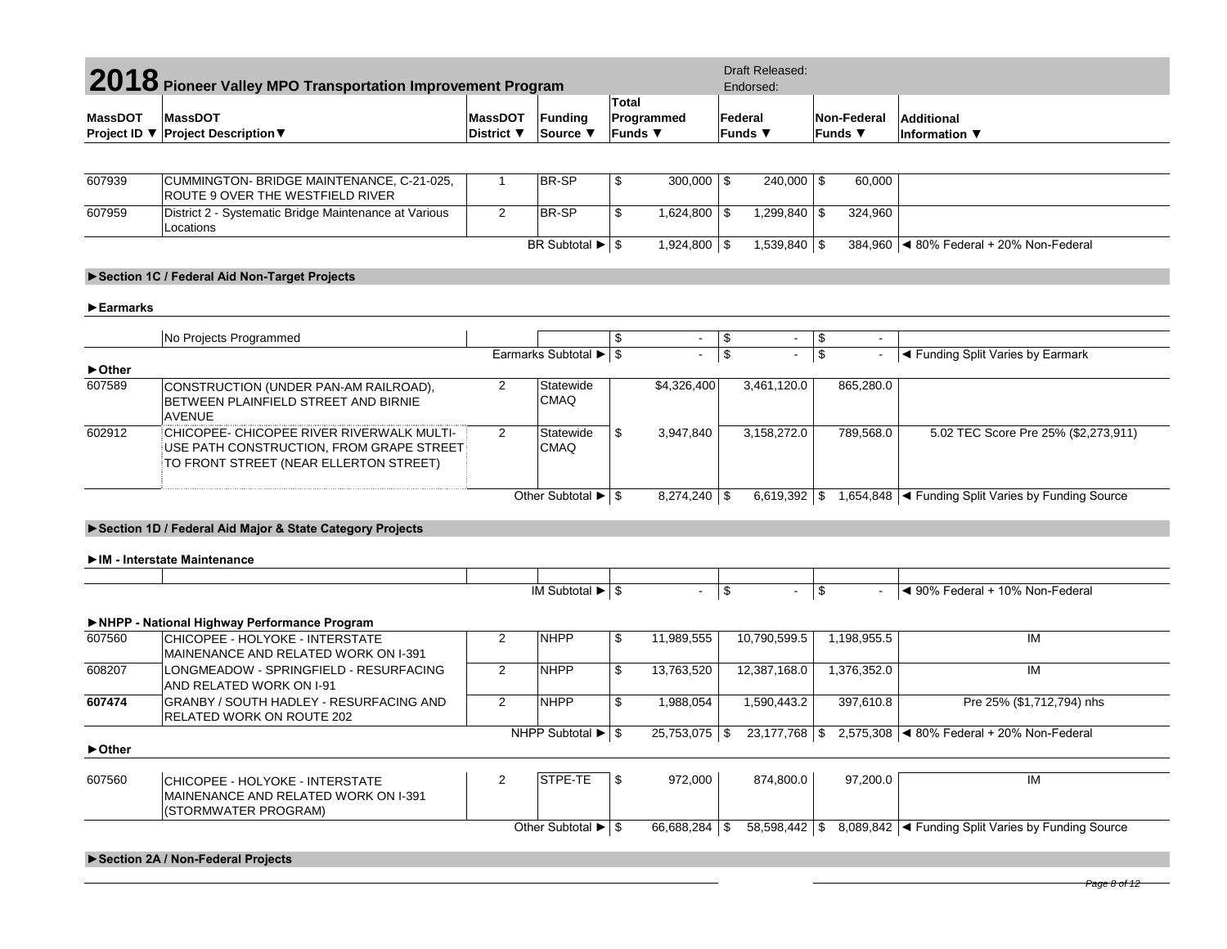| 2018 Pioneer Valley MPO Transportation Improvement Program |                                                                                                                                 |                              |                                               |                                                          | <b>Draft Released:</b><br>Endorsed: |                                |                           |                  |                          |                                                                             |
|------------------------------------------------------------|---------------------------------------------------------------------------------------------------------------------------------|------------------------------|-----------------------------------------------|----------------------------------------------------------|-------------------------------------|--------------------------------|---------------------------|------------------|--------------------------|-----------------------------------------------------------------------------|
| <b>MassDOT</b><br>Project ID ▼                             | <b>MassDOT</b><br><b>Project Description ▼</b>                                                                                  | <b>MassDOT</b><br>District ▼ | Funding<br>Source ▼                           | <b>Total</b><br>Programmed<br>Funds $\blacktriangledown$ |                                     |                                | Federal<br><b>Funds</b> ▼ |                  | Non-Federal<br>Funds ▼   | <b>Additional</b><br>Information ▼                                          |
|                                                            |                                                                                                                                 |                              |                                               |                                                          |                                     |                                |                           |                  |                          |                                                                             |
| 607939                                                     | CUMMINGTON- BRIDGE MAINTENANCE, C-21-025,<br>ROUTE 9 OVER THE WESTFIELD RIVER                                                   | $\mathbf{1}$                 | BR-SP                                         | \$                                                       | $300,000$ \$                        |                                | $240,000$ \$              |                  | 60,000                   |                                                                             |
| 607959                                                     | District 2 - Systematic Bridge Maintenance at Various<br>Locations                                                              | 2                            | BR-SP                                         | \$                                                       | $1,624,800$ \ \$                    |                                | $1,299,840$ \$            |                  | 324,960                  |                                                                             |
|                                                            |                                                                                                                                 |                              | BR Subtotal $\blacktriangleright$ $\mid$ \$   |                                                          | 1,924,800 \$                        |                                | $1,539,840$ \$            |                  |                          | 384,960   4 80% Federal + 20% Non-Federal                                   |
|                                                            | Section 1C / Federal Aid Non-Target Projects                                                                                    |                              |                                               |                                                          |                                     |                                |                           |                  |                          |                                                                             |
| $\blacktriangleright$ Earmarks                             |                                                                                                                                 |                              |                                               |                                                          |                                     |                                |                           |                  |                          |                                                                             |
|                                                            |                                                                                                                                 |                              |                                               |                                                          |                                     |                                |                           |                  |                          |                                                                             |
|                                                            | No Projects Programmed                                                                                                          |                              | Earmarks Subtotal > \$                        | \$                                                       | $\sim$<br>$\omega$                  | \$<br>$\overline{\mathcal{L}}$ | $\sim$<br>$\blacksquare$  | \$<br>$\sqrt{2}$ | $\sim$<br>$\blacksquare$ | ◀ Funding Split Varies by Earmark                                           |
| ► Other                                                    |                                                                                                                                 |                              |                                               |                                                          |                                     |                                |                           |                  |                          |                                                                             |
| 607589                                                     | CONSTRUCTION (UNDER PAN-AM RAILROAD),<br>BETWEEN PLAINFIELD STREET AND BIRNIE<br><b>AVENUE</b>                                  | 2                            | Statewide<br><b>CMAQ</b>                      |                                                          | \$4,326,400                         |                                | 3,461,120.0               |                  | 865,280.0                |                                                                             |
| 602912                                                     | CHICOPEE- CHICOPEE RIVER RIVERWALK MULTI-<br>USE PATH CONSTRUCTION, FROM GRAPE STREET<br>TO FRONT STREET (NEAR ELLERTON STREET) | 2                            | Statewide<br><b>CMAQ</b>                      | \$                                                       | 3,947,840                           |                                | 3,158,272.0               |                  | 789,568.0                | 5.02 TEC Score Pre 25% (\$2,273,911)                                        |
|                                                            |                                                                                                                                 |                              | Other Subtotal $\blacktriangleright$ \$       |                                                          | $8,274,240$ \$                      |                                |                           |                  |                          | 6,619,392 $\mid$ \$ 1,654,848 $\mid$ Funding Split Varies by Funding Source |
|                                                            | Section 1D / Federal Aid Major & State Category Projects                                                                        |                              |                                               |                                                          |                                     |                                |                           |                  |                          |                                                                             |
|                                                            | IM - Interstate Maintenance                                                                                                     |                              |                                               |                                                          |                                     |                                |                           |                  |                          |                                                                             |
|                                                            |                                                                                                                                 |                              | IM Subtotal > 1                               |                                                          | $\blacksquare$                      | $\sqrt[6]{\frac{1}{2}}$        | $\blacksquare$            | \$               |                          | ◀ 90% Federal + 10% Non-Federal                                             |
|                                                            | NHPP - National Highway Performance Program                                                                                     |                              |                                               |                                                          |                                     |                                |                           |                  |                          |                                                                             |
| 607560                                                     | CHICOPEE - HOLYOKE - INTERSTATE<br>MAINENANCE AND RELATED WORK ON I-391                                                         | $\overline{2}$               | <b>NHPP</b>                                   | \$                                                       | 11,989,555                          |                                | 10,790,599.5              |                  | 1,198,955.5              | IM                                                                          |
| 608207                                                     | LONGMEADOW - SPRINGFIELD - RESURFACING<br>AND RELATED WORK ON I-91                                                              | 2                            | <b>NHPP</b>                                   | \$                                                       | 13,763,520                          |                                | 12,387,168.0              |                  | 1,376,352.0              | IM                                                                          |
| 607474                                                     | GRANBY / SOUTH HADLEY - RESURFACING AND<br>RELATED WORK ON ROUTE 202                                                            | 2                            | <b>NHPP</b>                                   | \$                                                       | 1,988,054                           |                                | 1,590,443.2               |                  | 397,610.8                | Pre 25% (\$1,712,794) nhs                                                   |
| ▶ Other                                                    |                                                                                                                                 |                              | NHPP Subtotal $\blacktriangleright$ $\mid$ \$ |                                                          | $25,753,075$ \$                     |                                |                           |                  |                          | 2,575,308  ◀ 80% Federal + 20% Non-Federal                                  |
| 607560                                                     | CHICOPEE - HOLYOKE - INTERSTATE<br>MAINENANCE AND RELATED WORK ON I-391<br>(STORMWATER PROGRAM)                                 | 2                            | STPE-TE                                       | \$                                                       | 972,000                             |                                | 874,800.0                 |                  | 97,200.0                 | IM                                                                          |
|                                                            |                                                                                                                                 |                              | Other Subtotal $\blacktriangleright$ \$       |                                                          | 66,688,284 \$                       |                                | $58,598,442$ \\$          |                  |                          | 8,089,842  ◀ Funding Split Varies by Funding Source                         |
|                                                            | Section 2A / Non-Federal Projects                                                                                               |                              |                                               |                                                          |                                     |                                |                           |                  |                          |                                                                             |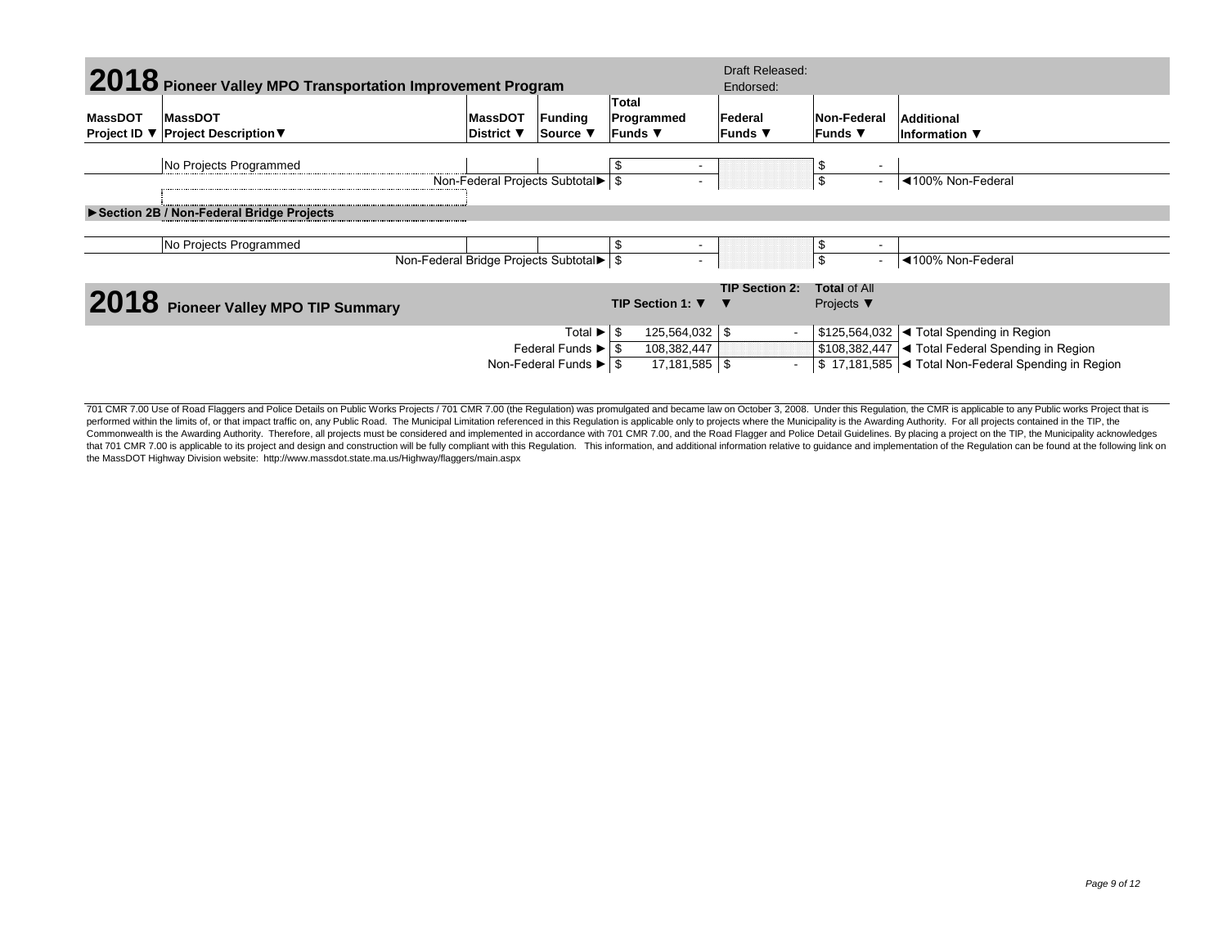|         |                                                            |                   |                                                              | Draft Released:                     |                            |                                                      |                                                              |  |  |
|---------|------------------------------------------------------------|-------------------|--------------------------------------------------------------|-------------------------------------|----------------------------|------------------------------------------------------|--------------------------------------------------------------|--|--|
|         | 2018 Pioneer Valley MPO Transportation Improvement Program |                   |                                                              |                                     | Endorsed:                  |                                                      |                                                              |  |  |
| MassDOT | <b>MassDOT</b>                                             | <b>MassDOT</b>    | Funding                                                      | <b>Total</b><br>Programmed          | Federal                    | Non-Federal                                          | Additional                                                   |  |  |
|         | Project ID ▼ Project Description ▼                         | <b>District</b> ▼ | Source ▼                                                     | Funds $\blacktriangledown$          | Funds $\blacktriangledown$ | Funds $\blacktriangledown$                           | Information $\blacktriangledown$                             |  |  |
|         | No Projects Programmed                                     |                   |                                                              | \$<br>$\overline{\phantom{0}}$      |                            | S                                                    |                                                              |  |  |
|         |                                                            |                   | Non-Federal Projects Subtotal▶ \$                            | $\overline{\phantom{a}}$            |                            | \$                                                   | ◀100% Non-Federal                                            |  |  |
|         | Section 2B / Non-Federal Bridge Projects                   |                   |                                                              |                                     |                            |                                                      |                                                              |  |  |
|         | No Projects Programmed                                     |                   |                                                              | \$<br>٠                             |                            |                                                      |                                                              |  |  |
|         |                                                            |                   | Non-Federal Bridge Projects Subtotal > \$                    | $\overline{\phantom{a}}$            |                            | \$                                                   | ◀100% Non-Federal                                            |  |  |
|         | 2018 Pioneer Valley MPO TIP Summary                        |                   |                                                              | TIP Section 1: $\blacktriangledown$ | <b>TIP Section 2:</b>      | <b>Total of All</b><br>Projects $\blacktriangledown$ |                                                              |  |  |
|         |                                                            |                   | Total $\blacktriangleright$ $\mid$ \$                        | $125,564,032$ \$                    |                            |                                                      | $$125,564,032$ $\blacktriangleleft$ Total Spending in Region |  |  |
|         |                                                            |                   | Federal Funds $\blacktriangleright$ $\blacktriangleright$ \$ | 108,382,447                         |                            |                                                      | \$108,382,447   Total Federal Spending in Region             |  |  |
|         |                                                            |                   | Non-Federal Funds $\blacktriangleright$ $\mid$ \$            | $17,181,585$ \ \$                   |                            |                                                      | \$17,181,585   Total Non-Federal Spending in Region          |  |  |

701 CMR 7.00 Use of Road Flaggers and Police Details on Public Works Projects / 701 CMR 7.00 (the Regulation) was promulgated and became law on October 3, 2008. Under this Regulation, the CMR is applicable to any Public wo performed within the limits of, or that impact traffic on, any Public Road. The Municipal Limitation referenced in this Regulation is applicable only to projects where the Municipality is the Awarding Authority. For all pr Commonwealth is the Awarding Authority. Therefore, all projects must be considered and implemented in accordance with 701 CMR 7.00, and the Road Flagger and Police Detail Guidelines. By placing a project on the TIP, the Mu that 701 CMR 7.00 is applicable to its project and design and construction will be fully compliant with this Regulation. This information, and additional information relative to guidance and implementation of the Regulatio the MassDOT Highway Division website: http://www.massdot.state.ma.us/Highway/flaggers/main.aspx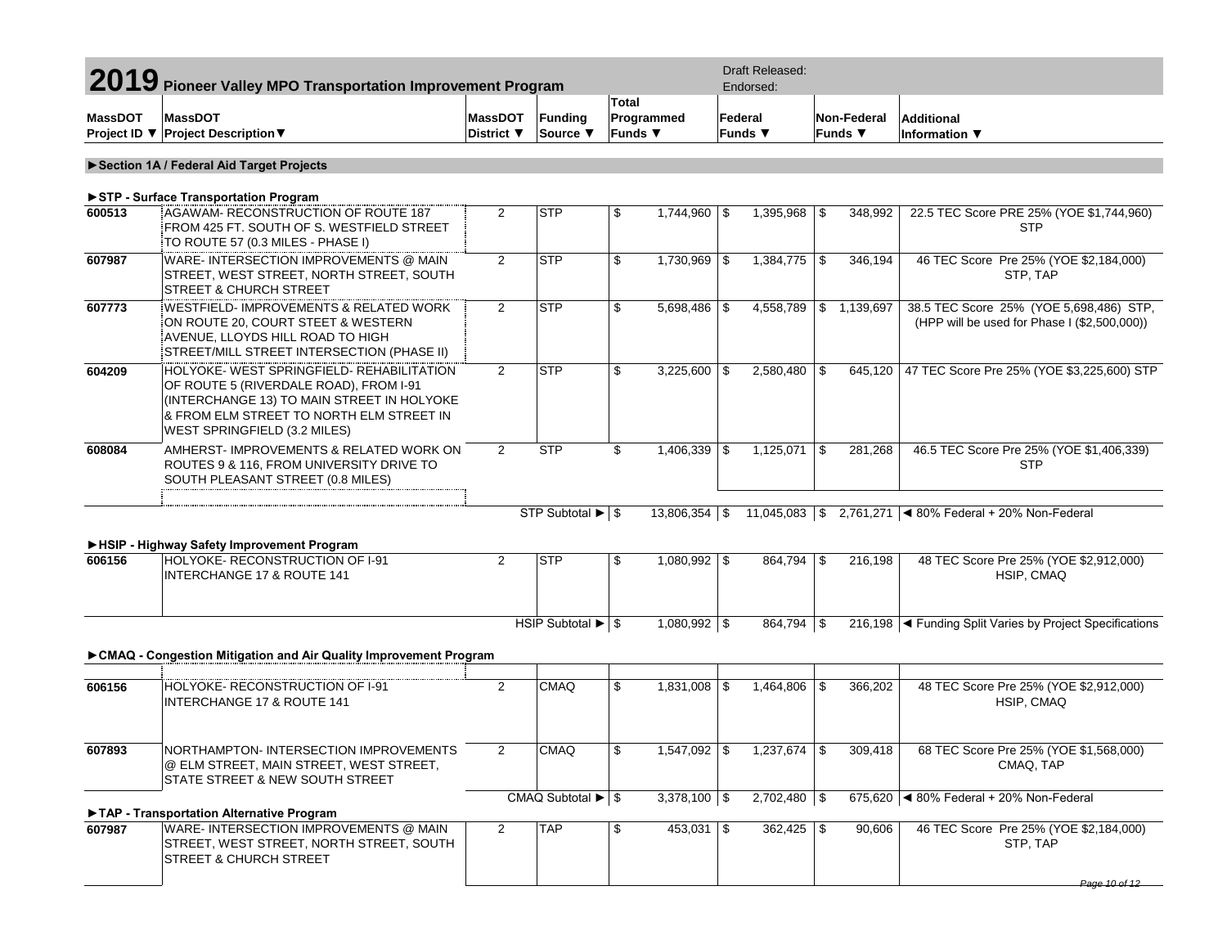|                | 2019 Pioneer Valley MPO Transportation Improvement Program                                                                                                                                                    |                              |                                               |                         | Draft Released:<br>Endorsed: |     |                    |                               |                         |                                                                                         |
|----------------|---------------------------------------------------------------------------------------------------------------------------------------------------------------------------------------------------------------|------------------------------|-----------------------------------------------|-------------------------|------------------------------|-----|--------------------|-------------------------------|-------------------------|-----------------------------------------------------------------------------------------|
| <b>MassDOT</b> | <b>MassDOT</b><br>Project ID ▼ Project Description ▼                                                                                                                                                          | <b>MassDOT</b><br>District ▼ | <b>Funding</b><br>Source ▼                    | <b>Total</b><br>Funds ▼ | Programmed                   |     | Federal<br>Funds ▼ | Non-Federal<br><b>Funds ▼</b> |                         | <b>Additional</b><br>Information ▼                                                      |
|                | Section 1A / Federal Aid Target Projects                                                                                                                                                                      |                              |                                               |                         |                              |     |                    |                               |                         |                                                                                         |
|                | STP - Surface Transportation Program                                                                                                                                                                          |                              |                                               |                         |                              |     |                    |                               |                         |                                                                                         |
| 600513         | AGAWAM- RECONSTRUCTION OF ROUTE 187<br>FROM 425 FT. SOUTH OF S. WESTFIELD STREET<br>TO ROUTE 57 (0.3 MILES - PHASE I)                                                                                         | $\overline{2}$               | <b>STP</b>                                    | \$                      | $1,744,960$ \$               |     | $1,395,968$ \$     |                               | 348.992                 | 22.5 TEC Score PRE 25% (YOE \$1,744,960)<br><b>STP</b>                                  |
| 607987         | WARE- INTERSECTION IMPROVEMENTS @ MAIN<br>STREET, WEST STREET, NORTH STREET, SOUTH<br><b>STREET &amp; CHURCH STREET</b>                                                                                       | $\overline{2}$               | <b>STP</b>                                    | \$                      | $1,730,969$ \$               |     | $1,384,775$ \$     |                               | 346,194                 | 46 TEC Score Pre 25% (YOE \$2,184,000)<br>STP, TAP                                      |
| 607773         | <b>WESTFIELD-IMPROVEMENTS &amp; RELATED WORK</b><br>ON ROUTE 20, COURT STEET & WESTERN<br>AVENUE, LLOYDS HILL ROAD TO HIGH<br>STREET/MILL STREET INTERSECTION (PHASE II)                                      | $\mathbf{2}^{\prime}$        | <b>STP</b>                                    | \$                      | $5,698,486$ \$               |     | 4,558,789          |                               | $\frac{1}{5}$ 1,139,697 | 38.5 TEC Score 25% (YOE 5,698,486) STP,<br>(HPP will be used for Phase I (\$2,500,000)) |
| 604209         | HOLYOKE- WEST SPRINGFIELD- REHABILITATION<br>OF ROUTE 5 (RIVERDALE ROAD), FROM I-91<br>(INTERCHANGE 13) TO MAIN STREET IN HOLYOKE<br>& FROM ELM STREET TO NORTH ELM STREET IN<br>WEST SPRINGFIELD (3.2 MILES) | $\overline{2}$               | <b>STP</b>                                    | \$                      | $3,225,600$ \$               |     | $2,580,480$ \$     |                               | 645,120                 | 47 TEC Score Pre 25% (YOE \$3,225,600) STP                                              |
| 608084         | AMHERST- IMPROVEMENTS & RELATED WORK ON<br>ROUTES 9 & 116, FROM UNIVERSITY DRIVE TO<br>SOUTH PLEASANT STREET (0.8 MILES)                                                                                      | $\overline{2}$               | <b>STP</b>                                    | \$                      | 1,406,339                    | -\$ | 1,125,071          | <b>S</b>                      | 281,268                 | 46.5 TEC Score Pre 25% (YOE \$1,406,339)<br><b>STP</b>                                  |
|                | HSIP - Highway Safety Improvement Program                                                                                                                                                                     |                              | STP Subtotal $\blacktriangleright$ $\mid$ \$  |                         | $13,806,354$ \$              |     | 11,045,083 \$      |                               |                         | 2,761,271 $\blacktriangleleft$ 80% Federal + 20% Non-Federal                            |
| 606156         | HOLYOKE- RECONSTRUCTION OF I-91<br><b>INTERCHANGE 17 &amp; ROUTE 141</b>                                                                                                                                      | $\overline{2}$               | <b>STP</b>                                    | \$                      | $1,080,992$ \$               |     | $864,794$ \$       |                               | 216,198                 | 48 TEC Score Pre 25% (YOE \$2,912,000)<br>HSIP, CMAQ                                    |
|                |                                                                                                                                                                                                               |                              |                                               |                         | $1,080,992$ \$               |     | $864,794$ \$       |                               |                         | 216,198   Funding Split Varies by Project Specifications                                |
|                | CMAQ - Congestion Mitigation and Air Quality Improvement Program                                                                                                                                              |                              |                                               |                         |                              |     |                    |                               |                         |                                                                                         |
| 606156         | HOLYOKE- RECONSTRUCTION OF 1-91<br><b>INTERCHANGE 17 &amp; ROUTE 141</b>                                                                                                                                      | $\mathbf{2}^{\prime}$        | CMAQ                                          | \$                      | 1,831,008                    | \$  | 1,464,806          | <b>S</b>                      | 366,202                 | 48 TEC Score Pre 25% (YOE \$2,912,000)<br>HSIP, CMAQ                                    |
| 607893         | NORTHAMPTON- INTERSECTION IMPROVEMENTS<br>@ ELM STREET, MAIN STREET, WEST STREET,<br>STATE STREET & NEW SOUTH STREET                                                                                          | $\overline{2}$               | <b>CMAQ</b>                                   | \$                      |                              |     | $1,237,674$ \$     |                               | 309,418                 | 68 TEC Score Pre 25% (YOE \$1,568,000)<br>CMAQ, TAP                                     |
|                | TAP - Transportation Alternative Program                                                                                                                                                                      |                              | CMAQ Subtotal $\blacktriangleright$ $\mid$ \$ |                         | $3,378,100$ \$               |     | $2,702,480$ \$     |                               |                         | 675,620 $\blacktriangleleft$ 80% Federal + 20% Non-Federal                              |
| 607987         | WARE- INTERSECTION IMPROVEMENTS @ MAIN<br>STREET, WEST STREET, NORTH STREET, SOUTH<br><b>STREET &amp; CHURCH STREET</b>                                                                                       | 2                            | <b>TAP</b>                                    | \$                      | $453,031$ \$                 |     | $362,425$ \\$      |                               | 90,606                  | 46 TEC Score Pre 25% (YOE \$2,184,000)<br>STP, TAP                                      |
|                |                                                                                                                                                                                                               |                              |                                               |                         |                              |     |                    |                               |                         | Page 10 of 12                                                                           |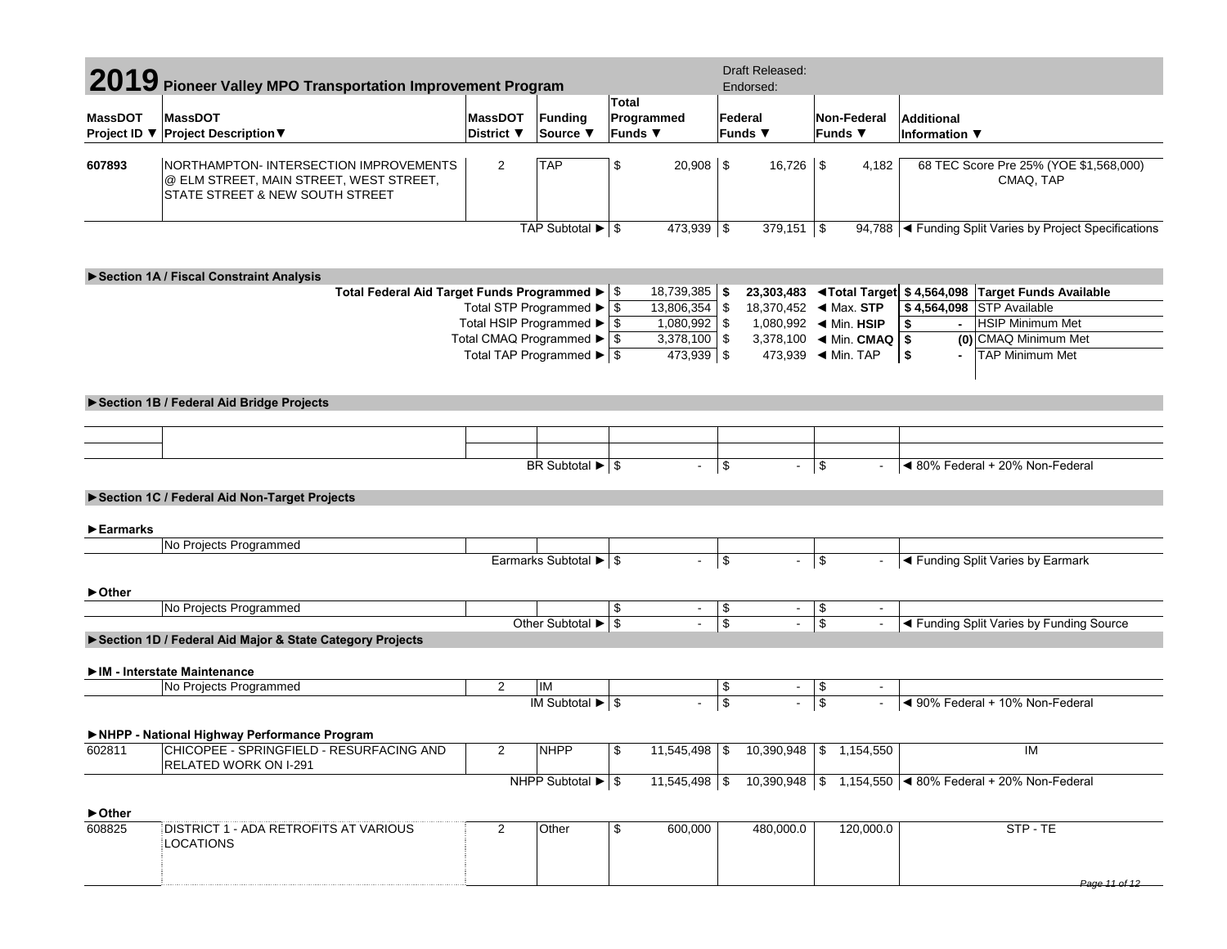| 2019 Pioneer Valley MPO Transportation Improvement Program |                                                                                                                     |                                                      |                                               |                         |                | Draft Released:<br>Endorsed: |                                               |                                |                        |                                    |                                                                                                         |
|------------------------------------------------------------|---------------------------------------------------------------------------------------------------------------------|------------------------------------------------------|-----------------------------------------------|-------------------------|----------------|------------------------------|-----------------------------------------------|--------------------------------|------------------------|------------------------------------|---------------------------------------------------------------------------------------------------------|
| <b>MassDOT</b><br>Project ID ▼                             | <b>MassDOT</b><br><b>Project Description ▼</b>                                                                      | <b>MassDOT</b><br><b>District</b> ▼                  | <b>Funding</b><br>Source ▼                    | <b>Total</b><br>Funds ▼ | Programmed     |                              | Federal<br>Funds $\blacktriangledown$         |                                | Non-Federal<br>Funds ▼ | <b>Additional</b><br>Information ▼ |                                                                                                         |
| 607893                                                     | NORTHAMPTON-INTERSECTION IMPROVEMENTS<br>@ ELM STREET, MAIN STREET, WEST STREET,<br>STATE STREET & NEW SOUTH STREET | $\overline{2}$                                       | <b>TAP</b>                                    | \$                      | $20,908$ \$    |                              |                                               |                                | 4,182                  |                                    | 68 TEC Score Pre 25% (YOE \$1,568,000)<br>CMAQ, TAP                                                     |
|                                                            |                                                                                                                     |                                                      | TAP Subtotal $\blacktriangleright$ $\mid$ \$  |                         | 473,939 \$     |                              | $379,151$ \$                                  |                                |                        |                                    | 94,788   Funding Split Varies by Project Specifications                                                 |
|                                                            | Section 1A / Fiscal Constraint Analysis                                                                             |                                                      |                                               |                         |                |                              |                                               |                                |                        |                                    |                                                                                                         |
|                                                            | Total Federal Aid Target Funds Programmed ▶   \$                                                                    |                                                      |                                               |                         | 18,739,385     | \$                           |                                               |                                |                        |                                    | 23,303,483 <total \$4,564,098="" available<="" funds="" target="" td=""></total>                        |
|                                                            |                                                                                                                     | Total STP Programmed ▶                               |                                               | \$                      | 13,806,354     | l \$                         |                                               |                                |                        |                                    | \$4,564,098 STP Available                                                                               |
|                                                            |                                                                                                                     | Total HSIP Programmed $\blacktriangleright$ \$       |                                               |                         | $1,080,992$ \$ |                              |                                               |                                |                        | \$<br>$\blacksquare$               | <b>HSIP Minimum Met</b>                                                                                 |
|                                                            |                                                                                                                     | Total CMAQ Programmed $\blacktriangleright$ \$       |                                               |                         | $3,378,100$ \$ |                              | 3,378,100 $\blacktriangleleft$ Min. CMAQ   \$ |                                |                        |                                    | (0) CMAQ Minimum Met                                                                                    |
|                                                            |                                                                                                                     | Total TAP Programmed $\blacktriangleright$ $\mid$ \$ |                                               |                         | 473,939 \$     |                              | 473,939 		 Min. TAP                           |                                |                        | $\sqrt{2}$                         | <b>TAP Minimum Met</b>                                                                                  |
|                                                            | Section 1B / Federal Aid Bridge Projects                                                                            |                                                      |                                               |                         |                |                              |                                               |                                |                        |                                    |                                                                                                         |
|                                                            |                                                                                                                     |                                                      |                                               |                         |                |                              |                                               |                                |                        |                                    |                                                                                                         |
|                                                            |                                                                                                                     |                                                      |                                               |                         |                |                              |                                               |                                |                        |                                    |                                                                                                         |
|                                                            |                                                                                                                     |                                                      | BR Subtotal $\blacktriangleright$ \$          |                         | $\blacksquare$ | \$                           | $\blacksquare$                                | $\vert$ \$                     |                        |                                    | ◀ 80% Federal + 20% Non-Federal                                                                         |
|                                                            | Section 1C / Federal Aid Non-Target Projects                                                                        |                                                      |                                               |                         |                |                              |                                               |                                |                        |                                    |                                                                                                         |
| $\blacktriangleright$ Earmarks                             |                                                                                                                     |                                                      |                                               |                         |                |                              |                                               |                                |                        |                                    |                                                                                                         |
|                                                            | No Projects Programmed                                                                                              |                                                      |                                               |                         |                |                              |                                               |                                |                        |                                    |                                                                                                         |
|                                                            |                                                                                                                     |                                                      | Earmarks Subtotal ▶ \$                        |                         | $\blacksquare$ | \$                           | $\blacksquare$                                | \$                             |                        |                                    | ◀ Funding Split Varies by Earmark                                                                       |
| ► Other                                                    |                                                                                                                     |                                                      |                                               |                         |                |                              |                                               |                                |                        |                                    |                                                                                                         |
|                                                            | No Projects Programmed                                                                                              |                                                      |                                               | \$                      | $\blacksquare$ | \$                           |                                               | \$<br>$\overline{\mathcal{L}}$ |                        |                                    |                                                                                                         |
|                                                            | Section 1D / Federal Aid Major & State Category Projects                                                            |                                                      | Other Subtotal ▶ \$                           |                         |                | \$                           | $\blacksquare$                                |                                |                        |                                    | ◀ Funding Split Varies by Funding Source                                                                |
|                                                            | IM - Interstate Maintenance                                                                                         |                                                      |                                               |                         |                |                              |                                               |                                |                        |                                    |                                                                                                         |
|                                                            | No Projects Programmed                                                                                              | $\overline{2}$                                       | IM                                            |                         |                | \$                           | $\sim$                                        | \$                             |                        |                                    |                                                                                                         |
|                                                            |                                                                                                                     |                                                      | IM Subtotal $\blacktriangleright$ \$          |                         |                | $\overline{\mathcal{L}}$     | $\blacksquare$                                | $\overline{\mathcal{S}}$       |                        |                                    | ◀ 90% Federal + 10% Non-Federal                                                                         |
|                                                            | NHPP - National Highway Performance Program                                                                         |                                                      |                                               |                         |                |                              |                                               |                                |                        |                                    |                                                                                                         |
| 602811                                                     | CHICOPEE - SPRINGFIELD - RESURFACING AND<br>RELATED WORK ON I-291                                                   |                                                      | NHPP                                          |                         |                |                              | $11,545,498$ \$ $10,390,948$ \$ 1,154,550     |                                |                        |                                    | IM                                                                                                      |
|                                                            |                                                                                                                     |                                                      | NHPP Subtotal $\blacktriangleright$ $\mid$ \$ |                         |                |                              |                                               |                                |                        |                                    | 11,545,498 $\frac{1}{3}$ 10,390,948 $\frac{1}{3}$ 1,154,550 $\frac{1}{3}$ 80% Federal + 20% Non-Federal |
| $\blacktriangleright$ Other                                |                                                                                                                     |                                                      |                                               |                         |                |                              |                                               |                                |                        |                                    |                                                                                                         |
| 608825                                                     | DISTRICT 1 - ADA RETROFITS AT VARIOUS<br><b>LOCATIONS</b>                                                           | 2                                                    | Other                                         | \$                      | 600,000        |                              | 480,000.0                                     |                                | 120,000.0              |                                    | STP-TE                                                                                                  |
|                                                            |                                                                                                                     |                                                      |                                               |                         |                |                              |                                               |                                |                        |                                    | Page 11 of 12                                                                                           |